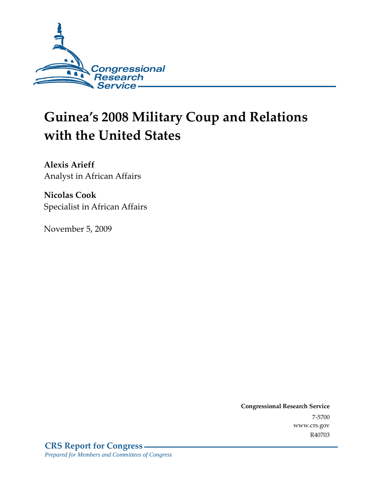

# **Guinea's 2008 Military Coup and Relations with the United States**

**Alexis Arieff**  Analyst in African Affairs

**Nicolas Cook**  Specialist in African Affairs

November 5, 2009

**Congressional Research Service** 7-5700 www.crs.gov R40703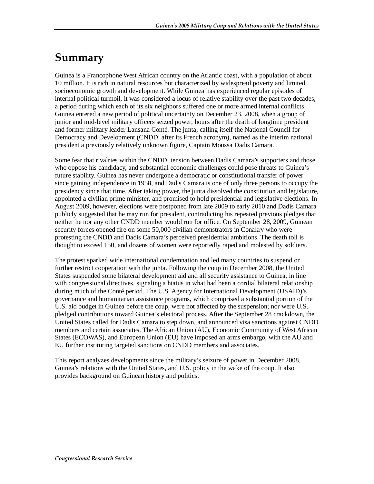# **Summary**

Guinea is a Francophone West African country on the Atlantic coast, with a population of about 10 million. It is rich in natural resources but characterized by widespread poverty and limited socioeconomic growth and development. While Guinea has experienced regular episodes of internal political turmoil, it was considered a locus of relative stability over the past two decades, a period during which each of its six neighbors suffered one or more armed internal conflicts. Guinea entered a new period of political uncertainty on December 23, 2008, when a group of junior and mid-level military officers seized power, hours after the death of longtime president and former military leader Lansana Conté. The junta, calling itself the National Council for Democracy and Development (CNDD, after its French acronym), named as the interim national president a previously relatively unknown figure, Captain Moussa Dadis Camara.

Some fear that rivalries within the CNDD, tension between Dadis Camara's supporters and those who oppose his candidacy, and substantial economic challenges could pose threats to Guinea's future stability. Guinea has never undergone a democratic or constitutional transfer of power since gaining independence in 1958, and Dadis Camara is one of only three persons to occupy the presidency since that time. After taking power, the junta dissolved the constitution and legislature, appointed a civilian prime minister, and promised to hold presidential and legislative elections. In August 2009, however, elections were postponed from late 2009 to early 2010 and Dadis Camara publicly suggested that he may run for president, contradicting his repeated previous pledges that neither he nor any other CNDD member would run for office. On September 28, 2009, Guinean security forces opened fire on some 50,000 civilian demonstrators in Conakry who were protesting the CNDD and Dadis Camara's perceived presidential ambitions. The death toll is thought to exceed 150, and dozens of women were reportedly raped and molested by soldiers.

The protest sparked wide international condemnation and led many countries to suspend or further restrict cooperation with the junta. Following the coup in December 2008, the United States suspended some bilateral development aid and all security assistance to Guinea, in line with congressional directives, signaling a hiatus in what had been a cordial bilateral relationship during much of the Conté period. The U.S. Agency for International Development (USAID)'s governance and humanitarian assistance programs, which comprised a substantial portion of the U.S. aid budget in Guinea before the coup, were not affected by the suspension; nor were U.S. pledged contributions toward Guinea's electoral process. After the September 28 crackdown, the United States called for Dadis Camara to step down, and announced visa sanctions against CNDD members and certain associates. The African Union (AU), Economic Community of West African States (ECOWAS), and European Union (EU) have imposed an arms embargo, with the AU and EU further instituting targeted sanctions on CNDD members and associates.

This report analyzes developments since the military's seizure of power in December 2008, Guinea's relations with the United States, and U.S. policy in the wake of the coup. It also provides background on Guinean history and politics.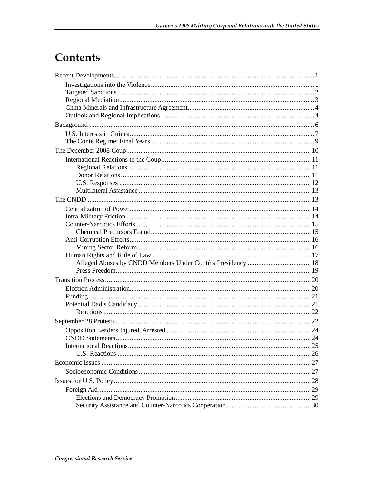# Contents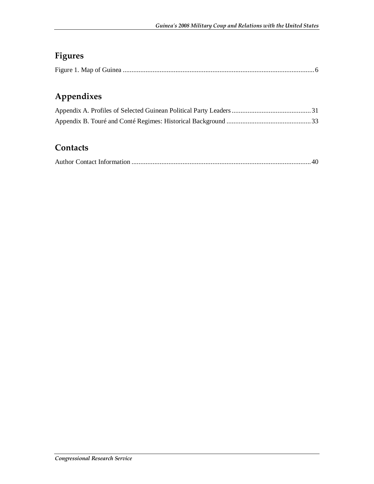## **Figures**

|--|--|

## **Appendixes**

## **Contacts**

|--|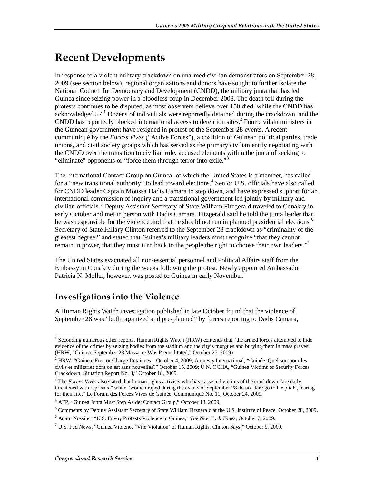# **Recent Developments**

In response to a violent military crackdown on unarmed civilian demonstrators on September 28, 2009 (see section below), regional organizations and donors have sought to further isolate the National Council for Democracy and Development (CNDD), the military junta that has led Guinea since seizing power in a bloodless coup in December 2008. The death toll during the protests continues to be disputed, as most observers believe over 150 died, while the CNDD has acknowledged 57.<sup>1</sup> Dozens of individuals were reportedly detained during the crackdown, and the CNDD has reportedly blocked international access to detention sites.<sup>2</sup> Four civilian ministers in the Guinean government have resigned in protest of the September 28 events. A recent communiqué by the *Forces Vives* ("Active Forces"), a coalition of Guinean political parties, trade unions, and civil society groups which has served as the primary civilian entity negotiating with the CNDD over the transition to civilian rule, accused elements within the junta of seeking to "eliminate" opponents or "force them through terror into exile."<sup>3</sup>

The International Contact Group on Guinea, of which the United States is a member, has called for a "new transitional authority" to lead toward elections.<sup>4</sup> Senior U.S. officials have also called for CNDD leader Captain Moussa Dadis Camara to step down, and have expressed support for an international commission of inquiry and a transitional government led jointly by military and civilian officials.<sup>5</sup> Deputy Assistant Secretary of State William Fitzgerald traveled to Conakry in early October and met in person with Dadis Camara. Fitzgerald said he told the junta leader that he was responsible for the violence and that he should not run in planned presidential elections.<sup>6</sup> Secretary of State Hillary Clinton referred to the September 28 crackdown as "criminality of the greatest degree," and stated that Guinea's military leaders must recognize "that they cannot remain in power, that they must turn back to the people the right to choose their own leaders."<sup>7</sup>

The United States evacuated all non-essential personnel and Political Affairs staff from the Embassy in Conakry during the weeks following the protest. Newly appointed Ambassador Patricia N. Moller, however, was posted to Guinea in early November.

## **Investigations into the Violence**

A Human Rights Watch investigation published in late October found that the violence of September 28 was "both organized and pre-planned" by forces reporting to Dadis Camara,

<sup>1&</sup>lt;br><sup>1</sup> Seconding numerous other reports, Human Rights Watch (HRW) contends that "the armed forces attempted to hide evidence of the crimes by seizing bodies from the stadium and the city's morgues and burying them in mass graves" (HRW, "Guinea: September 28 Massacre Was Premeditated," October 27, 2009).

<sup>&</sup>lt;sup>2</sup> HRW, "Guinea: Free or Charge Detainees," October 4, 2009; Amnesty International, "Guinée: Quel sort pour les civils et militaries dont on est sans nouvelles?" October 15, 2009; U.N. OCHA, "Guinea Victims of Security Forces Crackdown: Situation Report No. 3," October 18, 2009.

<sup>&</sup>lt;sup>3</sup> The *Forces Vives* also stated that human rights activists who have assisted victims of the crackdown "are daily threatened with reprisals," while "women raped during the events of September 28 do not dare go to hospitals, fearing for their life." Le Forum des Forces Vives de Guinée, Communiqué No. 11, October 24, 2009.

<sup>4</sup> AFP, "Guinea Junta Must Step Aside: Contact Group," October 13, 2009.

<sup>&</sup>lt;sup>5</sup> Comments by Deputy Assistant Secretary of State William Fitzgerald at the U.S. Institute of Peace, October 28, 2009.

<sup>6</sup> Adam Nossiter, "U.S. Envoy Protests Violence in Guinea," *The New York Times*, October 7, 2009.

<sup>&</sup>lt;sup>7</sup> U.S. Fed News, "Guinea Violence 'Vile Violation' of Human Rights, Clinton Says," October 9, 2009.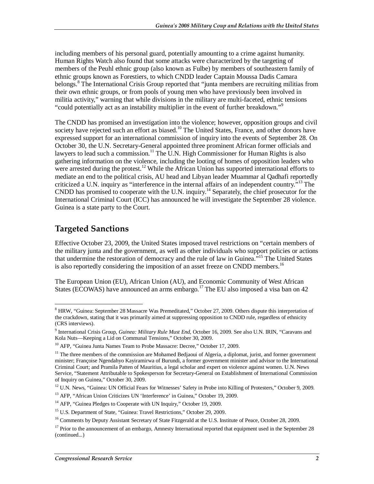including members of his personal guard, potentially amounting to a crime against humanity. Human Rights Watch also found that some attacks were characterized by the targeting of members of the Peuhl ethnic group (also known as Fulbe) by members of southeastern family of ethnic groups known as Forestiers, to which CNDD leader Captain Moussa Dadis Camara belongs.<sup>8</sup> The International Crisis Group reported that "junta members are recruiting militias from their own ethnic groups, or from pools of young men who have previously been involved in militia activity," warning that while divisions in the military are multi-faceted, ethnic tensions "could potentially act as an instability multiplier in the event of further breakdown."<sup>9</sup>

The CNDD has promised an investigation into the violence; however, opposition groups and civil society have rejected such an effort as biased.<sup>10</sup> The United States, France, and other donors have expressed support for an international commission of inquiry into the events of September 28. On October 30, the U.N. Secretary-General appointed three prominent African former officials and lawyers to lead such a commission.<sup>11</sup> The U.N. High Commissioner for Human Rights is also gathering information on the violence, including the looting of homes of opposition leaders who were arrested during the protest.<sup>12</sup> While the African Union has supported international efforts to mediate an end to the political crisis, AU head and Libyan leader Muammar al Qadhafi reportedly criticized a U.N. inquiry as "interference in the internal affairs of an independent country."<sup>13</sup> The CNDD has promised to cooperate with the U.N. inquiry.<sup>14</sup> Separately, the chief prosecutor for the International Criminal Court (ICC) has announced he will investigate the September 28 violence. Guinea is a state party to the Court.

## **Targeted Sanctions**

-

Effective October 23, 2009, the United States imposed travel restrictions on "certain members of the military junta and the government, as well as other individuals who support policies or actions that undermine the restoration of democracy and the rule of law in Guinea."15 The United States is also reportedly considering the imposition of an asset freeze on CNDD members.<sup>16</sup>

The European Union (EU), African Union (AU), and Economic Community of West African States (ECOWAS) have announced an arms embargo.<sup>17</sup> The EU also imposed a visa ban on 42

<sup>&</sup>lt;sup>8</sup> HRW, "Guinea: September 28 Massacre Was Premeditated," October 27, 2009. Others dispute this interpretation of the crackdown, stating that it was primarily aimed at suppressing opposition to CNDD rule, regardless of ethnicity (CRS interviews).

<sup>&</sup>lt;sup>9</sup> International Crisis Group, *Guinea: Military Rule Must End*, October 16, 2009. See also U.N. IRIN, "Caravans and Kola Nuts—Keeping a Lid on Communal Tensions," October 30, 2009.

<sup>&</sup>lt;sup>10</sup> AFP, "Guinea Junta Names Team to Probe Massacre: Decree," October 17, 2009.

 $11$  The three members of the commission are Mohamed Bedjaoui of Algeria, a diplomat, jurist, and former government minister; Françoise Ngendahyo Kayiramirwa of Burundi, a former government minister and advisor to the International Criminal Court; and Pramila Patten of Mauritius, a legal scholar and expert on violence against women. U.N. News Service, "Statement Attributable to Spokesperson for Secretary-General on Establishment of International Commission of Inquiry on Guinea," October 30, 2009.

<sup>&</sup>lt;sup>12</sup> U.N. News, "Guinea: UN Official Fears for Witnesses' Safety in Probe into Killing of Protesters," October 9, 2009.

<sup>&</sup>lt;sup>13</sup> AFP, "African Union Criticizes UN 'Interference' in Guinea," October 19, 2009.

<sup>&</sup>lt;sup>14</sup> AFP. "Guinea Pledges to Cooperate with UN Inquiry," October 19, 2009.

<sup>&</sup>lt;sup>15</sup> U.S. Department of State, "Guinea: Travel Restrictions," October 29, 2009.

<sup>&</sup>lt;sup>16</sup> Comments by Deputy Assistant Secretary of State Fitzgerald at the U.S. Institute of Peace, October 28, 2009.

 $17$  Prior to the announcement of an embargo, Amnesty International reported that equipment used in the September 28 (continued...)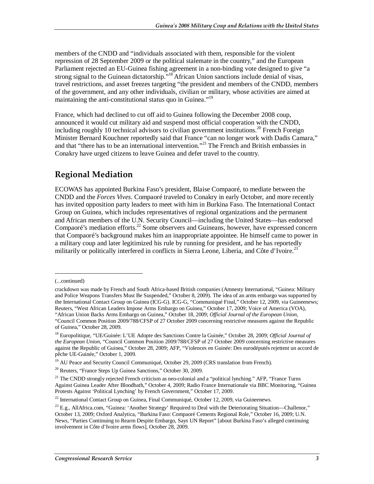members of the CNDD and "individuals associated with them, responsible for the violent repression of 28 September 2009 or the political stalemate in the country," and the European Parliament rejected an EU-Guinea fishing agreement in a non-binding vote designed to give "a strong signal to the Guinean dictatorship.<sup>"18</sup> African Union sanctions include denial of visas, travel restrictions, and asset freezes targeting "the president and members of the CNDD, members of the government, and any other individuals, civilian or military, whose activities are aimed at maintaining the anti-constitutional status quo in Guinea."<sup>19</sup>

France, which had declined to cut off aid to Guinea following the December 2008 coup, announced it would cut military aid and suspend most official cooperation with the CNDD, including roughly 10 technical advisors to civilian government institutions.<sup>20</sup> French Foreign Minister Bernard Kouchner reportedly said that France "can no longer work with Dadis Camara," and that "there has to be an international intervention."<sup>21</sup> The French and British embassies in Conakry have urged citizens to leave Guinea and defer travel to the country.

## **Regional Mediation**

ECOWAS has appointed Burkina Faso's president, Blaise Compaoré, to mediate between the CNDD and the *Forces Vives*. Compaoré traveled to Conakry in early October, and more recently has invited opposition party leaders to meet with him in Burkina Faso. The International Contact Group on Guinea, which includes representatives of regional organizations and the permanent and African members of the U.N. Security Council—including the United States—has endorsed Compaoré's mediation efforts. $^{22}$  Some observers and Guineans, however, have expressed concern that Compaoré's background makes him an inappropriate appointee. He himself came to power in a military coup and later legitimized his rule by running for president, and he has reportedly militarily or politically interfered in conflicts in Sierra Leone, Liberia, and Côte d'Ivoire.<sup>23</sup>

1

<sup>19</sup> AU Peace and Security Council Communiqué, October 29, 2009 (CRS translation from French).

<sup>(...</sup>continued)

crackdown was made by French and South Africa-based British companies (Amnesty International, "Guinea: Military and Police Weapons Transfers Must Be Suspended," October 8, 2009). The idea of an arms embargo was supported by the International Contact Group on Guinea (ICG-G). ICG-G, "Communiqué Final," October 12, 2009, via Guineenews; Reuters, "West African Leaders Impose Arms Embargo on Guinea," October 17, 2009; Voice of America (VOA), "African Union Backs Arms Embargo on Guinea," October 18, 2009; *Official Journal of the European Union*,

<sup>&</sup>quot;Council Common Position 2009/788/CFSP of 27 October 2009 concerning restrictive measures against the Republic of Guinea," October 28, 2009.

<sup>18</sup> Europolitique, "UE/Guinée: L'UE Adopte des Sanctions Contre la Guinée," October 28, 2009; *Official Journal of the European Union*, "Council Common Position 2009/788/CFSP of 27 October 2009 concerning restrictive measures against the Republic of Guinea," October 28, 2009; AFP, "Violences en Guinée: Des eurodéputés rejettent un accord de pêche UE-Guinée," October 1, 2009.

<sup>20</sup> Reuters, "France Steps Up Guinea Sanctions," October 30, 2009.

<sup>&</sup>lt;sup>21</sup> The CNDD strongly rejected French criticism as neo-colonial and a "political lynching." AFP, "France Turns Against Guinea Leader After Bloodbath," October 4, 2009; Radio France Internationale via BBC Monitoring, "Guinea Protests Against 'Political Lynching' by French Government," October 17, 2009.

<sup>&</sup>lt;sup>22</sup> International Contact Group on Guinea, Final Communiqué, October 12, 2009, via Guineenews.

<sup>&</sup>lt;sup>23</sup> E.g., AllAfrica.com, "Guinea: 'Another Strategy' Required to Deal with the Deteriorating Situation—Challenor," October 13, 2009; Oxford Analytica, "Burkina Faso: Compaoré Cements Regional Role," October 16, 2009; U.N. News, "Parties Continuing to Rearm Despite Embargo, Says UN Report" [about Burkina Faso's alleged continuing involvement in Côte d'Ivoire arms flows], October 28, 2009.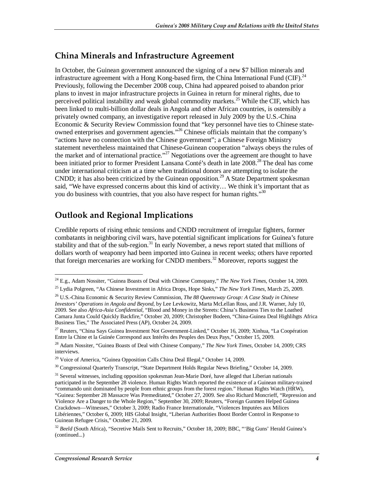### **China Minerals and Infrastructure Agreement**

In October, the Guinean government announced the signing of a new \$7 billion minerals and infrastructure agreement with a Hong Kong-based firm, the China International Fund (CIF).<sup>24</sup> Previously, following the December 2008 coup, China had appeared poised to abandon prior plans to invest in major infrastructure projects in Guinea in return for mineral rights, due to perceived political instability and weak global commodity markets.<sup>25</sup> While the CIF, which has been linked to multi-billion dollar deals in Angola and other African countries, is ostensibly a privately owned company, an investigative report released in July 2009 by the U.S.-China Economic & Security Review Commission found that "key personnel have ties to Chinese stateowned enterprises and government agencies."26 Chinese officials maintain that the company's "actions have no connection with the Chinese government"; a Chinese Foreign Ministry statement nevertheless maintained that Chinese-Guinean cooperation "always obeys the rules of the market and of international practice."<sup>27</sup> Negotiations over the agreement are thought to have been initiated prior to former President Lansana Conté's death in late 2008.<sup>28</sup> The deal has come under international criticism at a time when traditional donors are attempting to isolate the CNDD; it has also been criticized by the Guinean opposition.<sup>29</sup> A State Department spokesman said, "We have expressed concerns about this kind of activity… We think it's important that as you do business with countries, that you also have respect for human rights." $30$ 

## **Outlook and Regional Implications**

Credible reports of rising ethnic tensions and CNDD recruitment of irregular fighters, former combatants in neighboring civil wars, have potential significant implications for Guinea's future stability and that of the sub-region.<sup>31</sup> In early November, a news report stated that millions of dollars worth of weaponry had been imported into Guinea in recent weeks; others have reported that foreign mercenaries are working for CNDD members.<sup>32</sup> Moreover, reports suggest the

<sup>-</sup>24 E.g., Adam Nossiter, "Guinea Boasts of Deal with Chinese Comopany," *The New York Times*, October 14, 2009.

<sup>25</sup> Lydia Polgreen, "As Chinese Investment in Africa Drops, Hope Sinks," *The New York Times*, March 25, 2009.

<sup>26</sup> U.S.-China Economic & Security Review Commission, *The 88 Queensway Group: A Case Study in Chinese Investors' Operations in Angola and Beyond*, by Lee Levkowitz, Marta McLellan Ross, and J.R. Warner, July 10, 2009. See also *Africa-Asia Confidential*, "Blood and Money in the Streets: China's Business Ties to the Loathed Camara Junta Could Quickly Backfire," October 20, 2009; Christopher Bodeen, "China-Guinea Deal Highlihgts Africa Business Ties," The Associated Press (AP), October 24, 2009.

<sup>&</sup>lt;sup>27</sup> Reuters, "China Says Guinea Investment Not Government-Linked," October 16, 2009; Xinhua, "La Coopération" Entre la Chine et la Guinée Correspond aux Intérêts des Peuples des Deux Pays," October 15, 2009.

<sup>28</sup> Adam Nossiter, "Guinea Boasts of Deal with Chinese Company," *The New York Times*, October 14, 2009; CRS interviews.

<sup>&</sup>lt;sup>29</sup> Voice of America, "Guinea Opposition Calls China Deal Illegal," October 14, 2009.

<sup>&</sup>lt;sup>30</sup> Congressional Quarterly Transcript, "State Department Holds Regular News Briefing," October 14, 2009.

<sup>&</sup>lt;sup>31</sup> Several witnesses, including opposition spokesman Jean-Marie Doré, have alleged that Liberian nationals participated in the September 28 violence. Human Rights Watch reported the existence of a Guinean military-trained "commando unit dominated by people from ethnic groups from the forest region." Human Rights Watch (HRW), "Guinea: September 28 Massacre Was Premeditated," October 27, 2009. See also Richard Moncrieff, "Repression and Violence Are a Danger to the Whole Region," September 30, 2009; Reuters, "Foreign Gunmen Helped Guinea Crackdown—Witnesses," October 3, 2009; Radio France Internationale, "Violences Imputées aux Milices Libériennes," October 6, 2009; HIS Global Insight, "Liberian Authorities Boost Border Control in Response to Guinean Refugee Crisis," October 21, 2009.

<sup>32</sup> *Beeld* (South Africa), "Secretive Mails Sent to Recruits," October 18, 2009; BBC, "'Big Guns' Herald Guinea's (continued...)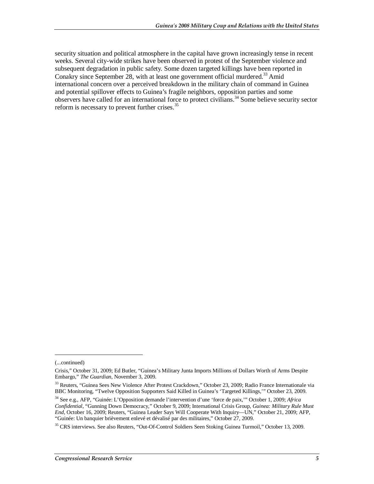security situation and political atmosphere in the capital have grown increasingly tense in recent weeks. Several city-wide strikes have been observed in protest of the September violence and subsequent degradation in public safety. Some dozen targeted killings have been reported in Conakry since September 28, with at least one government official murdered.<sup>33</sup> Amid international concern over a perceived breakdown in the military chain of command in Guinea and potential spillover effects to Guinea's fragile neighbors, opposition parties and some observers have called for an international force to protect civilians.<sup>34</sup> Some believe security sector reform is necessary to prevent further crises.<sup>35</sup>

1

<sup>(...</sup>continued)

Crisis," October 31, 2009; Ed Butler, "Guinea's Military Junta Imports Millions of Dollars Worth of Arms Despite Embargo," *The Guardian*, November 3, 2009.

<sup>&</sup>lt;sup>33</sup> Reuters, "Guinea Sees New Violence After Protest Crackdown," October 23, 2009; Radio France Internationale via BBC Monitoring, "Twelve Opposition Supporters Said Killed in Guinea's 'Targeted Killings,'" October 23, 2009.

<sup>34</sup> See e.g., AFP, "Guinée: L'Opposition demande l'intervention d'une 'force de paix,'" October 1, 2009; *Africa Confidential*, "Gunning Down Democracy," October 9, 2009; International Crisis Group, *Guinea: Military Rule Must End*, October 16, 2009; Reuters, "Guinea Leader Says Will Cooperate With Inquiry—UN," October 21, 2009; AFP, "Guinée: Un banquier brièvement enlevé et dévalisé par des militaires," October 27, 2009.

<sup>35</sup> CRS interviews. See also Reuters, "Out-Of-Control Soldiers Seen Stoking Guinea Turmoil," October 13, 2009.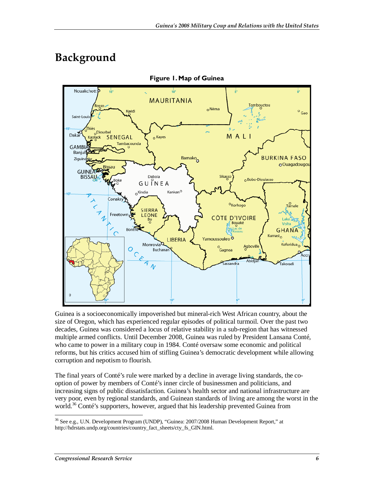# **Background**



**Figure 1. Map of Guinea** 

Guinea is a socioeconomically impoverished but mineral-rich West African country, about the size of Oregon, which has experienced regular episodes of political turmoil. Over the past two decades, Guinea was considered a locus of relative stability in a sub-region that has witnessed multiple armed conflicts. Until December 2008, Guinea was ruled by President Lansana Conté, who came to power in a military coup in 1984. Conté oversaw some economic and political reforms, but his critics accused him of stifling Guinea's democratic development while allowing corruption and nepotism to flourish.

The final years of Conté's rule were marked by a decline in average living standards, the cooption of power by members of Conté's inner circle of businessmen and politicians, and increasing signs of public dissatisfaction. Guinea's health sector and national infrastructure are very poor, even by regional standards, and Guinean standards of living are among the worst in the world.<sup>36</sup> Conté's supporters, however, argued that his leadership prevented Guinea from

<sup>-</sup><sup>36</sup> See e.g., U.N. Development Program (UNDP), "Guinea: 2007/2008 Human Development Report," at http://hdrstats.undp.org/countries/country\_fact\_sheets/cty\_fs\_GIN.html.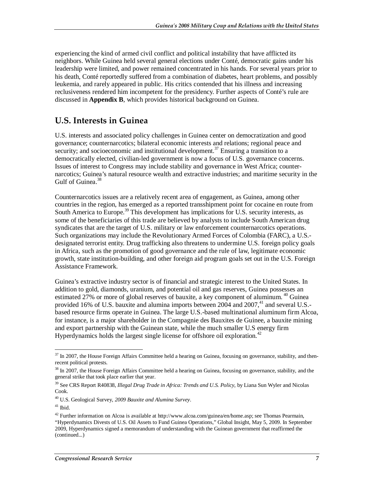experiencing the kind of armed civil conflict and political instability that have afflicted its neighbors. While Guinea held several general elections under Conté, democratic gains under his leadership were limited, and power remained concentrated in his hands. For several years prior to his death, Conté reportedly suffered from a combination of diabetes, heart problems, and possibly leukemia, and rarely appeared in public. His critics contended that his illness and increasing reclusiveness rendered him incompetent for the presidency. Further aspects of Conté's rule are discussed in **Appendix B**, which provides historical background on Guinea.

## **U.S. Interests in Guinea**

U.S. interests and associated policy challenges in Guinea center on democratization and good governance; counternarcotics; bilateral economic interests and relations; regional peace and security; and socioeconomic and institutional development.<sup>37</sup> Ensuring a transition to a democratically elected, civilian-led government is now a focus of U.S. governance concerns. Issues of interest to Congress may include stability and governance in West Africa; counternarcotics; Guinea's natural resource wealth and extractive industries; and maritime security in the Gulf of Guinea.<sup>38</sup>

Counternarcotics issues are a relatively recent area of engagement, as Guinea, among other countries in the region, has emerged as a reported transshipment point for cocaine en route from South America to Europe.<sup>39</sup> This development has implications for U.S. security interests, as some of the beneficiaries of this trade are believed by analysts to include South American drug syndicates that are the target of U.S. military or law enforcement counternarcotics operations. Such organizations may include the Revolutionary Armed Forces of Colombia (FARC), a U.S. designated terrorist entity. Drug trafficking also threatens to undermine U.S. foreign policy goals in Africa, such as the promotion of good governance and the rule of law, legitimate economic growth, state institution-building, and other foreign aid program goals set out in the U.S. Foreign Assistance Framework.

Guinea's extractive industry sector is of financial and strategic interest to the United States. In addition to gold, diamonds, uranium, and potential oil and gas reserves, Guinea possesses an estimated 27% or more of global reserves of bauxite, a key component of aluminum.<sup>40</sup> Guinea provided 16% of U.S. bauxite and alumina imports between  $2004$  and  $2007<sup>41</sup>$  and several U.S.based resource firms operate in Guinea. The large U.S.-based multinational aluminum firm Alcoa, for instance, is a major shareholder in the Compagnie des Bauxites de Guinee, a bauxite mining and export partnership with the Guinean state, while the much smaller U.S energy firm Hyperdynamics holds the largest single license for offshore oil exploration.<sup>42</sup>

<sup>-</sup> $37$  In 2007, the House Foreign Affairs Committee held a hearing on Guinea, focusing on governance, stability, and thenrecent political protests.

<sup>&</sup>lt;sup>38</sup> In 2007, the House Foreign Affairs Committee held a hearing on Guinea, focusing on governance, stability, and the general strike that took place earlier that year.

<sup>39</sup> See CRS Report R40838, *Illegal Drug Trade in Africa: Trends and U.S. Policy*, by Liana Sun Wyler and Nicolas Cook.

<sup>40</sup> U.S. Geological Survey, *2009 Bauxite and Alumina Survey*.

 $41$  Ibid.

<sup>&</sup>lt;sup>42</sup> Further information on Alcoa is available at http://www.alcoa.com/guinea/en/home.asp; see Thomas Pearmain, "Hyperdynamics Divests of U.S. Oil Assets to Fund Guinea Operations," Global Insight, May 5, 2009. In September 2009, Hyperdynamics signed a memorandum of understanding with the Guinean government that reaffirmed the (continued...)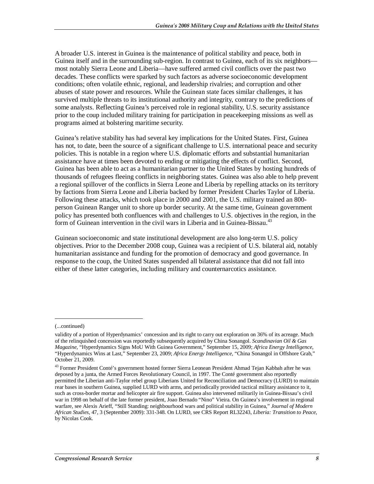A broader U.S. interest in Guinea is the maintenance of political stability and peace, both in Guinea itself and in the surrounding sub-region. In contrast to Guinea, each of its six neighbors most notably Sierra Leone and Liberia—have suffered armed civil conflicts over the past two decades. These conflicts were sparked by such factors as adverse socioeconomic development conditions; often volatile ethnic, regional, and leadership rivalries; and corruption and other abuses of state power and resources. While the Guinean state faces similar challenges, it has survived multiple threats to its institutional authority and integrity, contrary to the predictions of some analysts. Reflecting Guinea's perceived role in regional stability, U.S. security assistance prior to the coup included military training for participation in peacekeeping missions as well as programs aimed at bolstering maritime security.

Guinea's relative stability has had several key implications for the United States. First, Guinea has not, to date, been the source of a significant challenge to U.S. international peace and security policies. This is notable in a region where U.S. diplomatic efforts and substantial humanitarian assistance have at times been devoted to ending or mitigating the effects of conflict. Second, Guinea has been able to act as a humanitarian partner to the United States by hosting hundreds of thousands of refugees fleeing conflicts in neighboring states. Guinea was also able to help prevent a regional spillover of the conflicts in Sierra Leone and Liberia by repelling attacks on its territory by factions from Sierra Leone and Liberia backed by former President Charles Taylor of Liberia. Following these attacks, which took place in 2000 and 2001, the U.S. military trained an 800 person Guinean Ranger unit to shore up border security. At the same time, Guinean government policy has presented both confluences with and challenges to U.S. objectives in the region, in the form of Guinean intervention in the civil wars in Liberia and in Guinea-Bissau.<sup>43</sup>

Guinean socioeconomic and state institutional development are also long-term U.S. policy objectives. Prior to the December 2008 coup, Guinea was a recipient of U.S. bilateral aid, notably humanitarian assistance and funding for the promotion of democracy and good governance. In response to the coup, the United States suspended all bilateral assistance that did not fall into either of these latter categories, including military and counternarcotics assistance.

<u>.</u>

<sup>(...</sup>continued)

validity of a portion of Hyperdynamics' concession and its right to carry out exploration on 36% of its acreage. Much of the relinquished concession was reportedly subsequently acquired by China Sonangol. *Scandinavian Oil & Gas Magazine*, "Hyperdynamics Signs MoU With Guinea Government," September 15, 2009; *Africa Energy Intelligence*, "Hyperdynamics Wins at Last," September 23, 2009; *Africa Energy Intelligence*, "China Sonangol in Offshore Grab," October 21, 2009.

<sup>&</sup>lt;sup>43</sup> Former President Conté's government hosted former Sierra Leonean President Ahmad Tejan Kabbah after he was deposed by a junta, the Armed Forces Revolutionary Council, in 1997. The Conté government also reportedly permitted the Liberian anti-Taylor rebel group Liberians United for Reconciliation and Democracy (LURD) to maintain rear bases in southern Guinea, supplied LURD with arms, and periodically provided tactical military assistance to it, such as cross-border mortar and helicopter air fire support. Guinea also intervened militarily in Guinea-Bissau's civil war in 1998 on behalf of the late former president, Joao Bernado "Nino" Vieira. On Guinea's involvement in regional warfare, see Alexis Arieff, "Still Standing: neighbourhood wars and political stability in Guinea," *Journal of Modern African Studies*, 47, 3 (September 2009): 331-348. On LURD, see CRS Report RL32243, *Liberia: Transition to Peace*, by Nicolas Cook.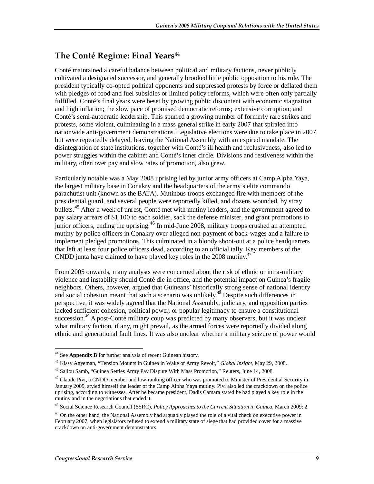## **The Conté Regime: Final Years<sup>44</sup>**

Conté maintained a careful balance between political and military factions, never publicly cultivated a designated successor, and generally brooked little public opposition to his rule. The president typically co-opted political opponents and suppressed protests by force or deflated them with pledges of food and fuel subsidies or limited policy reforms, which were often only partially fulfilled. Conté's final years were beset by growing public discontent with economic stagnation and high inflation; the slow pace of promised democratic reforms; extensive corruption; and Conté's semi-autocratic leadership. This spurred a growing number of formerly rare strikes and protests, some violent, culminating in a mass general strike in early 2007 that spiraled into nationwide anti-government demonstrations. Legislative elections were due to take place in 2007, but were repeatedly delayed, leaving the National Assembly with an expired mandate. The disintegration of state institutions, together with Conté's ill health and reclusiveness, also led to power struggles within the cabinet and Conté's inner circle. Divisions and restiveness within the military, often over pay and slow rates of promotion, also grew.

Particularly notable was a May 2008 uprising led by junior army officers at Camp Alpha Yaya, the largest military base in Conakry and the headquarters of the army's elite commando parachutist unit (known as the BATA). Mutinous troops exchanged fire with members of the presidential guard, and several people were reportedly killed, and dozens wounded, by stray bullets.<sup>45</sup> After a week of unrest, Conté met with mutiny leaders, and the government agreed to pay salary arrears of \$1,100 to each soldier, sack the defense minister, and grant promotions to junior officers, ending the uprising.<sup>46</sup> In mid-June 2008, military troops crushed an attempted mutiny by police officers in Conakry over alleged non-payment of back-wages and a failure to implement pledged promotions. This culminated in a bloody shoot-out at a police headquarters that left at least four police officers dead, according to an official tally. Key members of the CNDD junta have claimed to have played key roles in the  $2008$  mutiny.<sup>47</sup>

From 2005 onwards, many analysts were concerned about the risk of ethnic or intra-military violence and instability should Conté die in office, and the potential impact on Guinea's fragile neighbors. Others, however, argued that Guineans' historically strong sense of national identity and social cohesion meant that such a scenario was unlikely.<sup>48</sup> Despite such differences in perspective, it was widely agreed that the National Assembly, judiciary, and opposition parties lacked sufficient cohesion, political power, or popular legitimacy to ensure a constitutional succession.<sup>49</sup> A post-Conté military coup was predicted by many observers, but it was unclear what military faction, if any, might prevail, as the armed forces were reportedly divided along ethnic and generational fault lines. It was also unclear whether a military seizure of power would

<sup>-</sup><sup>44</sup> See **Appendix B** for further analysis of recent Guinean history.

<sup>&</sup>lt;sup>45</sup> Kissy Agyeman, "Tension Mounts in Guinea in Wake of Army Revolt," *Global Insight*, May 29, 2008.<br><sup>46</sup> Saliou Samb, "Guinea Settles Army Pay Dispute With Mass Promotion," Reuters, June 14, 2008.

<sup>&</sup>lt;sup>47</sup> Claude Pivi, a CNDD member and low-ranking officer who was promoted to Minister of Presidential Security in January 2009, styled himself the leader of the Camp Alpha Yaya mutiny. Pivi also led the crackdown on the police uprising, according to witnesses. After he became president, Dadis Camara stated he had played a key role in the mutiny and in the negotiations that ended it.

<sup>48</sup> Social Science Research Council (SSRC), *Policy Approaches to the Current Situation in Guinea*, March 2009: 2.

<sup>&</sup>lt;sup>49</sup> On the other hand, the National Assembly had arguably played the role of a vital check on executive power in February 2007, when legislators refused to extend a military state of siege that had provided cover for a massive crackdown on anti-government demonstrators.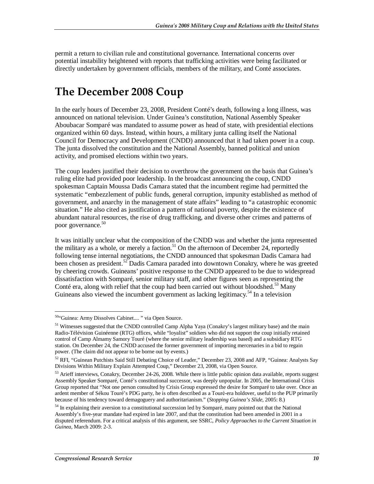permit a return to civilian rule and constitutional governance. International concerns over potential instability heightened with reports that trafficking activities were being facilitated or directly undertaken by government officials, members of the military, and Conté associates.

# **The December 2008 Coup**

In the early hours of December 23, 2008, President Conté's death, following a long illness, was announced on national television. Under Guinea's constitution, National Assembly Speaker Aboubacar Somparé was mandated to assume power as head of state, with presidential elections organized within 60 days. Instead, within hours, a military junta calling itself the National Council for Democracy and Development (CNDD) announced that it had taken power in a coup. The junta dissolved the constitution and the National Assembly, banned political and union activity, and promised elections within two years.

The coup leaders justified their decision to overthrow the government on the basis that Guinea's ruling elite had provided poor leadership. In the broadcast announcing the coup, CNDD spokesman Captain Moussa Dadis Camara stated that the incumbent regime had permitted the systematic "embezzlement of public funds, general corruption, impunity established as method of government, and anarchy in the management of state affairs" leading to "a catastrophic economic situation." He also cited as justification a pattern of national poverty, despite the existence of abundant natural resources, the rise of drug trafficking, and diverse other crimes and patterns of poor governance.<sup>50</sup>

It was initially unclear what the composition of the CNDD was and whether the junta represented the military as a whole, or merely a faction.<sup>51</sup> On the afternoon of December 24, reportedly following tense internal negotiations, the CNDD announced that spokesman Dadis Camara had been chosen as president.<sup>52</sup> Dadis Camara paraded into downtown Conakry, where he was greeted by cheering crowds. Guineans' positive response to the CNDD appeared to be due to widespread dissatisfaction with Somparé, senior military staff, and other figures seen as representing the Conté era, along with relief that the coup had been carried out without bloodshed.<sup>53</sup> Many Guineans also viewed the incumbent government as lacking legitimacy.<sup>54</sup> In a television

<sup>-</sup>50"Guinea: Army Dissolves Cabinet.... " via Open Source.

<sup>&</sup>lt;sup>51</sup> Witnesses suggested that the CNDD controlled Camp Alpha Yaya (Conakry's largest military base) and the main Radio-Télévision Guinéenne (RTG) offices, while "loyalist" soldiers who did not support the coup initially retained control of Camp Almamy Samory Touré (where the senior military leadership was based) and a subsidiary RTG station. On December 24, the CNDD accused the former government of importing mercenaries in a bid to regain power. (The claim did not appear to be borne out by events.)

<sup>52</sup> RFI, "Guinean Putchists Said Still Debating Choice of Leader," December 23, 2008 and AFP, "Guinea: Analysts Say Divisions Within Military Explain Attempted Coup," December 23, 2008, via Open Source.

<sup>&</sup>lt;sup>53</sup> Arieff interviews, Conakry, December 24-26, 2008. While there is little public opinion data available, reports suggest Assembly Speaker Somparé, Conté's constitutional successor, was deeply unpopular. In 2005, the International Crisis Group reported that "Not one person consulted by Crisis Group expressed the desire for Somparé to take over. Once an ardent member of Sékou Touré's PDG party, he is often described as a Touré-era holdover, useful to the PUP primarily because of his tendency toward demagoguery and authoritarianism." (*Stopping Guinea's Slide*, 2005: 8.)

<sup>&</sup>lt;sup>54</sup> In explaining their aversion to a constitutional succession led by Somparé, many pointed out that the National Assembly's five-year mandate had expired in late 2007, and that the constitution had been amended in 2001 in a disputed referendum. For a critical analysis of this argument, see SSRC, *Policy Approaches to the Current Situation in Guinea*, March 2009: 2-3.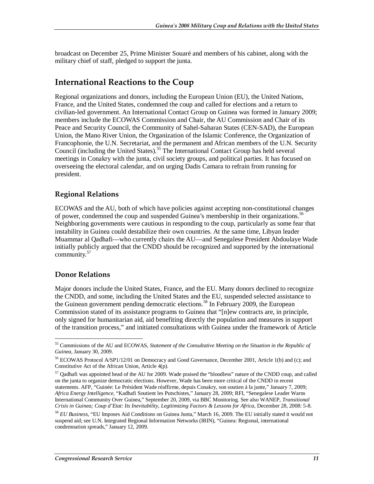broadcast on December 25, Prime Minister Souaré and members of his cabinet, along with the military chief of staff, pledged to support the junta.

## **International Reactions to the Coup**

Regional organizations and donors, including the European Union (EU), the United Nations, France, and the United States, condemned the coup and called for elections and a return to civilian-led government. An International Contact Group on Guinea was formed in January 2009; members include the ECOWAS Commission and Chair, the AU Commission and Chair of its Peace and Security Council, the Community of Sahel-Saharan States (CEN-SAD), the European Union, the Mano River Union, the Organization of the Islamic Conference, the Organization of Francophonie, the U.N. Secretariat, and the permanent and African members of the U.N. Security Council (including the United States).<sup>55</sup> The International Contact Group has held several meetings in Conakry with the junta, civil society groups, and political parties. It has focused on overseeing the electoral calendar, and on urging Dadis Camara to refrain from running for president.

### **Regional Relations**

ECOWAS and the AU, both of which have policies against accepting non-constitutional changes of power, condemned the coup and suspended Guinea's membership in their organizations.<sup>56</sup> Neighboring governments were cautious in responding to the coup, particularly as some fear that instability in Guinea could destabilize their own countries. At the same time, Libyan leader Muammar al Qadhafi—who currently chairs the AU—and Senegalese President Abdoulaye Wade initially publicly argued that the CNDD should be recognized and supported by the international community.<sup>57</sup>

### **Donor Relations**

Major donors include the United States, France, and the EU. Many donors declined to recognize the CNDD, and some, including the United States and the EU, suspended selected assistance to the Guinean government pending democratic elections.<sup>58</sup> In February 2009, the European Commission stated of its assistance programs to Guinea that "[n]ew contracts are, in principle, only signed for humanitarian aid, aid benefiting directly the population and measures in support of the transition process," and initiated consultations with Guinea under the framework of Article

<sup>-</sup>55 Commissions of the AU and ECOWAS, *Statement of the Consultative Meeting on the Situation in the Republic of Guinea*, January 30, 2009.

<sup>&</sup>lt;sup>56</sup> ECOWAS Protocol A/SP1/12/01 on Democracy and Good Governance, December 2001, Article 1(b) and (c); and Constitutive Act of the African Union, Article 4(p).

<sup>57</sup> Qadhafi was appointed head of the AU for 2009. Wade praised the "bloodless" nature of the CNDD coup, and called on the junta to organize democratic elections. However, Wade has been more critical of the CNDD in recent statements. AFP, "Guinée: Le Président Wade réaffirme, depuis Conakry, son soutien à la junte," January 7, 2009; *Africa Energy Intelligence*, "Kadhafi Soutient les Putschistes," January 28, 2009; RFI, "Senegalese Leader Warns International Community Over Guinea," September 20, 2009, via BBC Monitoring. See also WANEP, *Transitional Crisis in Guinea; Coup d'Etat: Its Inevitability, Legitimizing Factors & Lessons for Africa*, December 28, 2008: 5-8.

<sup>58</sup> *EU Business*, "EU Imposes Aid Conditions on Guinea Junta," March 16, 2009. The EU initially stated it would not suspend aid; see U.N. Integrated Regional Information Networks (IRIN), "Guinea: Regional, international condemnation spreads," January 12, 2009.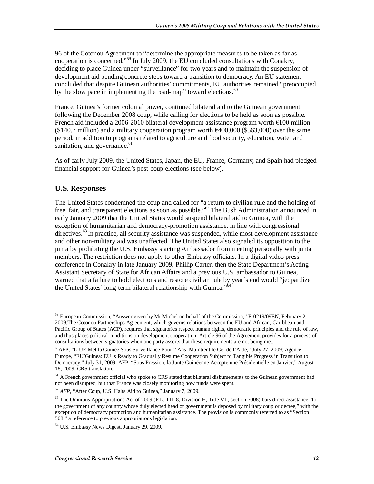96 of the Cotonou Agreement to "determine the appropriate measures to be taken as far as cooperation is concerned."59 In July 2009, the EU concluded consultations with Conakry, deciding to place Guinea under "surveillance" for two years and to maintain the suspension of development aid pending concrete steps toward a transition to democracy. An EU statement concluded that despite Guinean authorities' commitments, EU authorities remained "preoccupied by the slow pace in implementing the road-map" toward elections. $60$ 

France, Guinea's former colonial power, continued bilateral aid to the Guinean government following the December 2008 coup, while calling for elections to be held as soon as possible. French aid included a 2006-2010 bilateral development assistance program worth €100 million  $(\$140.7 \text{ million})$  and a military cooperation program worth  $\epsilon$ 400,000 (\$563,000) over the same period, in addition to programs related to agriculture and food security, education, water and sanitation, and governance.<sup>61</sup>

As of early July 2009, the United States, Japan, the EU, France, Germany, and Spain had pledged financial support for Guinea's post-coup elections (see below).

### **U.S. Responses**

The United States condemned the coup and called for "a return to civilian rule and the holding of free, fair, and transparent elections as soon as possible."<sup>62</sup> The Bush Administration announced in early January 2009 that the United States would suspend bilateral aid to Guinea, with the exception of humanitarian and democracy-promotion assistance, in line with congressional directives.<sup>63</sup> In practice, all security assistance was suspended, while most development assistance and other non-military aid was unaffected. The United States also signaled its opposition to the junta by prohibiting the U.S. Embassy's acting Ambassador from meeting personally with junta members. The restriction does not apply to other Embassy officials. In a digital video press conference in Conakry in late January 2009, Phillip Carter, then the State Department's Acting Assistant Secretary of State for African Affairs and a previous U.S. ambassador to Guinea, warned that a failure to hold elections and restore civilian rule by year's end would "jeopardize the United States' long-term bilateral relationship with Guinea."<sup>64</sup>

<sup>&</sup>lt;u>.</u> <sup>59</sup> European Commission, "Answer given by Mr Michel on behalf of the Commission," E-0219/09EN, February 2, 2009.The Cotonou Partnerships Agreement, which governs relations between the EU and African, Caribbean and Pacific Group of States (ACP), requires that signatories respect human rights, democratic principles and the rule of law, and thus places political conditions on development cooperation. Article 96 of the Agreement provides for a process of consultations between signatories when one party asserts that these requirements are not being met.

<sup>60</sup>AFP, "L'UE Met la Guinée Sous Surveillance Pour 2 Ans, Maintient le Gel de l'Aide," July 27, 2009; Agence Europe, "EU/Guinea: EU is Ready to Gradually Resume Cooperation Subject to Tangible Progress in Transition to Democracy," July 31, 2009; AFP, "Sous Pression, la Junte Guinéenne Accepte une Présidentielle en Janvier," August 18, 2009, CRS translation.

 $61$  A French government official who spoke to CRS stated that bilateral disbursements to the Guinean government had not been disrupted, but that France was closely monitoring how funds were spent.

<sup>62</sup> *AFP*, "After Coup, U.S. Halts Aid to Guinea," January 7, 2009.

 $63$  The Omnibus Appropriations Act of 2009 (P.L. 111-8, Division H, Title VII, section 7008) bars direct assistance "to the government of any country whose duly elected head of government is deposed by military coup or decree," with the exception of democracy promotion and humanitarian assistance. The provision is commonly referred to as "Section 508," a reference to previous appropriations legislation.

<sup>64</sup> U.S. Embassy News Digest, January 29, 2009.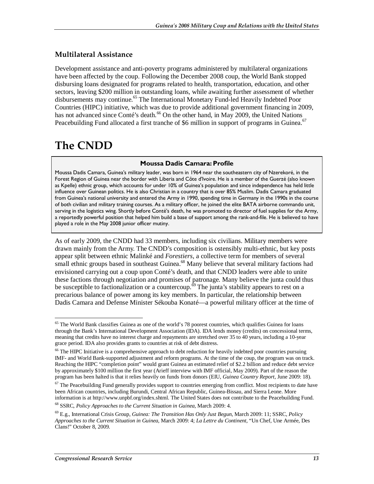### **Multilateral Assistance**

Development assistance and anti-poverty programs administered by multilateral organizations have been affected by the coup. Following the December 2008 coup, the World Bank stopped disbursing loans designated for programs related to health, transportation, education, and other sectors, leaving \$200 million in outstanding loans, while awaiting further assessment of whether disbursements may continue.<sup>65</sup> The International Monetary Fund-led Heavily Indebted Poor Countries (HIPC) initiative, which was due to provide additional government financing in 2009, has not advanced since Conté's death.<sup>66</sup> On the other hand, in May 2009, the United Nations Peacebuilding Fund allocated a first tranche of \$6 million in support of programs in Guinea.<sup>67</sup>

# **The CNDD**

#### **Moussa Dadis Camara: Profile**

Moussa Dadis Camara, Guinea's military leader, was born in 1964 near the southeastern city of Nzerekoré, in the Forest Region of Guinea near the border with Liberia and Côte d'Ivoire. He is a member of the Guerzé (also known as Kpelle) ethnic group, which accounts for under 10% of Guinea's population and since independence has held little influence over Guinean politics. He is also Christian in a country that is over 85% Muslim. Dadis Camara graduated from Guinea's national university and entered the Army in 1990, spending time in Germany in the 1990s in the course of both civilian and military training courses. As a military officer, he joined the elite BATA airborne commando unit, serving in the logistics wing. Shortly before Conté's death, he was promoted to director of fuel supplies for the Army, a reportedly powerful position that helped him build a base of support among the rank-and-file. He is believed to have played a role in the May 2008 junior officer mutiny.

As of early 2009, the CNDD had 33 members, including six civilians. Military members were drawn mainly from the Army. The CNDD's composition is ostensibly multi-ethnic, but key posts appear split between ethnic Malinké and *Forestiers*, a collective term for members of several small ethnic groups based in southeast Guinea.<sup>68</sup> Many believe that several military factions had envisioned carrying out a coup upon Conté's death, and that CNDD leaders were able to unite these factions through negotiation and promises of patronage. Many believe the junta could thus be susceptible to factionalization or a countercoup.<sup> $\dot{\theta}$ </sup> The junta's stability appears to rest on a precarious balance of power among its key members. In particular, the relationship between Dadis Camara and Defense Minister Sékouba Konaté—a powerful military officer at the time of

<sup>-</sup> $<sup>65</sup>$  The World Bank classifies Guinea as one of the world's 78 poorest countries, which qualifies Guinea for loans</sup> through the Bank's International Development Association (IDA). IDA lends money (credits) on concessional terms, meaning that credits have no interest charge and repayments are stretched over 35 to 40 years, including a 10-year grace period. IDA also provides grants to countries at risk of debt distress.

<sup>&</sup>lt;sup>66</sup> The HIPC Initiative is a comprehensive approach to debt reduction for heavily indebted poor countries pursuing IMF- and World Bank-supported adjustment and reform programs. At the time of the coup, the program was on track. Reaching the HIPC "completion point" would grant Guinea an estimated relief of \$2.2 billion and reduce debt service by approximately \$100 million the first year (Arieff interview with IMF official, May 2009). Part of the reason the program has been halted is that it relies heavily on funds from donors (EIU, *Guinea Country Report*, June 2009: 18).

 $67$  The Peacebuilding Fund generally provides support to countries emerging from conflict. Most recipients to date have been African countries, including Burundi, Central African Republic, Guinea-Bissau, and Sierra Leone. More information is at http://www.unpbf.org/index.shtml. The United States does not contribute to the Peacebuilding Fund.

<sup>68</sup> SSRC, *Policy Approaches to the Current Situation in Guinea*, March 2009: 4.

<sup>69</sup> E.g., International Crisis Group, *Guinea: The Transition Has Only Just Begun*, March 2009: 11; SSRC, *Policy Approaches to the Current Situation in Guinea*, March 2009: 4; *La Lettre du Continent*, "Un Chef, Une Armée, Des Clans!" October 8, 2009.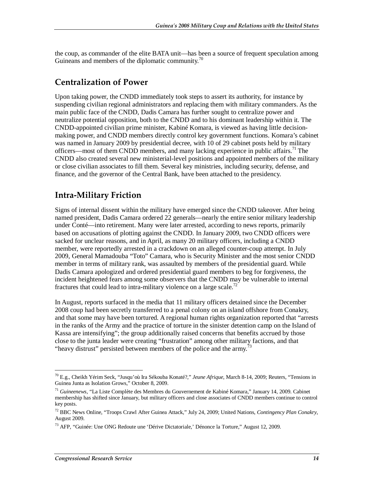the coup, as commander of the elite BATA unit—has been a source of frequent speculation among Guineans and members of the diplomatic community. $\frac{70}{2}$ 

### **Centralization of Power**

Upon taking power, the CNDD immediately took steps to assert its authority, for instance by suspending civilian regional administrators and replacing them with military commanders. As the main public face of the CNDD, Dadis Camara has further sought to centralize power and neutralize potential opposition, both to the CNDD and to his dominant leadership within it. The CNDD-appointed civilian prime minister, Kabiné Komara, is viewed as having little decisionmaking power, and CNDD members directly control key government functions. Komara's cabinet was named in January 2009 by presidential decree, with 10 of 29 cabinet posts held by military officers—most of them CNDD members, and many lacking experience in public affairs.<sup>71</sup> The CNDD also created several new ministerial-level positions and appointed members of the military or close civilian associates to fill them. Several key ministries, including security, defense, and finance, and the governor of the Central Bank, have been attached to the presidency.

### **Intra-Military Friction**

Signs of internal dissent within the military have emerged since the CNDD takeover. After being named president, Dadis Camara ordered 22 generals—nearly the entire senior military leadership under Conté—into retirement. Many were later arrested, according to news reports, primarily based on accusations of plotting against the CNDD. In January 2009, two CNDD officers were sacked for unclear reasons, and in April, as many 20 military officers, including a CNDD member, were reportedly arrested in a crackdown on an alleged counter-coup attempt. In July 2009, General Mamadouba "Toto" Camara, who is Security Minister and the most senior CNDD member in terms of military rank, was assaulted by members of the presidential guard. While Dadis Camara apologized and ordered presidential guard members to beg for forgiveness, the incident heightened fears among some observers that the CNDD may be vulnerable to internal fractures that could lead to intra-military violence on a large scale.<sup>72</sup>

In August, reports surfaced in the media that 11 military officers detained since the December 2008 coup had been secretly transferred to a penal colony on an island offshore from Conakry, and that some may have been tortured. A regional human rights organization reported that "arrests in the ranks of the Army and the practice of torture in the sinister detention camp on the Island of Kassa are intensifying"; the group additionally raised concerns that benefits accrued by those close to the junta leader were creating "frustration" among other military factions, and that "heavy distrust" persisted between members of the police and the army.<sup>73</sup>

-

<sup>70</sup> E.g., Cheikh Yérim Seck, "Jusqu'où Ira Sékouba Konaté?," *Jeune Afrique*, March 8-14, 2009; Reuters, "Tensions in Guinea Junta as Isolation Grows," October 8, 2009.

<sup>71</sup> *Guineenews*, "La Liste Complète des Membres du Gouvernement de Kabiné Komara," January 14, 2009. Cabinet membership has shifted since January, but military officers and close associates of CNDD members continue to control key posts.

<sup>72</sup> BBC News Online, "Troops Crawl After Guinea Attack," July 24, 2009; United Nations, *Contingency Plan Conakry*, August 2009.

<sup>73</sup> AFP, "Guinée: Une ONG Redoute une 'Dérive Dictatoriale,' Dénonce la Torture," August 12, 2009.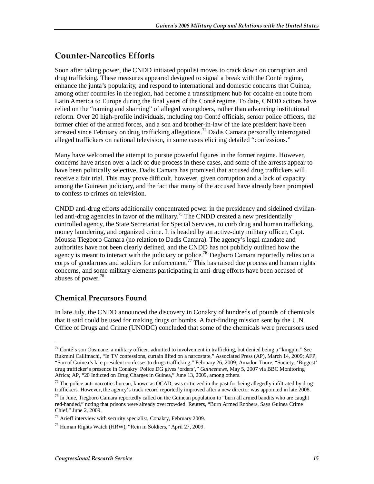## **Counter-Narcotics Efforts**

Soon after taking power, the CNDD initiated populist moves to crack down on corruption and drug trafficking. These measures appeared designed to signal a break with the Conté regime, enhance the junta's popularity, and respond to international and domestic concerns that Guinea, among other countries in the region, had become a transshipment hub for cocaine en route from Latin America to Europe during the final years of the Conté regime. To date, CNDD actions have relied on the "naming and shaming" of alleged wrongdoers, rather than advancing institutional reform. Over 20 high-profile individuals, including top Conté officials, senior police officers, the former chief of the armed forces, and a son and brother-in-law of the late president have been arrested since February on drug trafficking allegations.<sup>74</sup> Dadis Camara personally interrogated alleged traffickers on national television, in some cases eliciting detailed "confessions."

Many have welcomed the attempt to pursue powerful figures in the former regime. However, concerns have arisen over a lack of due process in these cases, and some of the arrests appear to have been politically selective. Dadis Camara has promised that accused drug traffickers will receive a fair trial. This may prove difficult, however, given corruption and a lack of capacity among the Guinean judiciary, and the fact that many of the accused have already been prompted to confess to crimes on television.

CNDD anti-drug efforts additionally concentrated power in the presidency and sidelined civilianled anti-drug agencies in favor of the military.<sup>75</sup> The CNDD created a new presidentially controlled agency, the State Secretariat for Special Services, to curb drug and human trafficking, money laundering, and organized crime. It is headed by an active-duty military officer, Capt. Moussa Tiegboro Camara (no relation to Dadis Camara). The agency's legal mandate and authorities have not been clearly defined, and the CNDD has not publicly outlined how the agency is meant to interact with the judiciary or police.<sup>76</sup> Tiegboro Camara reportedly relies on a corps of gendarmes and soldiers for enforcement.<sup>77</sup> This has raised due process and human rights concerns, and some military elements participating in anti-drug efforts have been accused of abuses of power.<sup>78</sup>

### **Chemical Precursors Found**

In late July, the CNDD announced the discovery in Conakry of hundreds of pounds of chemicals that it said could be used for making drugs or bombs. A fact-finding mission sent by the U.N. Office of Drugs and Crime (UNODC) concluded that some of the chemicals were precursors used

<sup>&</sup>lt;u>.</u>  $74$  Conté's son Ousmane, a military officer, admitted to involvement in trafficking, but denied being a "kingpin." See Rukmini Callimachi, "In TV confessions, curtain lifted on a narcostate," Associated Press (AP), March 14, 2009; AFP, "Son of Guinea's late president confesses to drugs trafficking," February 26, 2009; Amadou Toure, "Society: 'Biggest' drug trafficker's presence in Conakry: Police DG gives 'orders'," *Guineenews*, May 5, 2007 via BBC Monitoring Africa; AP, "20 Indicted on Drug Charges in Guinea," June 13, 2009, among others.

 $75$  The police anti-narcotics bureau, known as OCAD, was criticized in the past for being allegedly infiltrated by drug traffickers. However, the agency's track record reportedly improved after a new director was appointed in late 2008.

 $^{76}$  In June, Tiegboro Camara reportedly called on the Guinean population to "burn all armed bandits who are caught red-handed," noting that prisons were already overcrowded. Reuters, "Burn Armed Robbers, Says Guinea Crime Chief," June 2, 2009.

 $77$  Arieff interview with security specialist, Conakry, February 2009.

<sup>78</sup> Human Rights Watch (HRW), "Rein in Soldiers," April 27, 2009.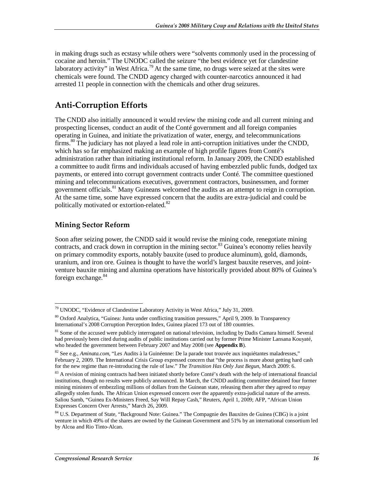in making drugs such as ecstasy while others were "solvents commonly used in the processing of cocaine and heroin." The UNODC called the seizure "the best evidence yet for clandestine laboratory activity" in West Africa.<sup>79</sup> At the same time, no drugs were seized at the sites were chemicals were found. The CNDD agency charged with counter-narcotics announced it had arrested 11 people in connection with the chemicals and other drug seizures.

## **Anti-Corruption Efforts**

The CNDD also initially announced it would review the mining code and all current mining and prospecting licenses, conduct an audit of the Conté government and all foreign companies operating in Guinea, and initiate the privatization of water, energy, and telecommunications firms.<sup>80</sup> The judiciary has not played a lead role in anti-corruption initiatives under the CNDD, which has so far emphasized making an example of high profile figures from Conté's administration rather than initiating institutional reform. In January 2009, the CNDD established a committee to audit firms and individuals accused of having embezzled public funds, dodged tax payments, or entered into corrupt government contracts under Conté. The committee questioned mining and telecommunications executives, government contractors, businessmen, and former government officials.<sup>81</sup> Many Guineans welcomed the audits as an attempt to reign in corruption. At the same time, some have expressed concern that the audits are extra-judicial and could be politically motivated or extortion-related.<sup>82</sup>

### **Mining Sector Reform**

Soon after seizing power, the CNDD said it would revise the mining code, renegotiate mining contracts, and crack down in corruption in the mining sector.<sup>83</sup> Guinea's economy relies heavily on primary commodity exports, notably bauxite (used to produce aluminum), gold, diamonds, uranium, and iron ore. Guinea is thought to have the world's largest bauxite reserves, and jointventure bauxite mining and alumina operations have historically provided about 80% of Guinea's foreign exchange.<sup>84</sup>

<sup>-</sup> $79$  UNODC, "Evidence of Clandestine Laboratory Activity in West Africa," July 31, 2009.

<sup>80</sup> Oxford Analytica, "Guinea: Junta under conflicting transition pressures," April 9, 2009. In Transparency International's 2008 Corruption Perception Index, Guinea placed 173 out of 180 countries.

<sup>&</sup>lt;sup>81</sup> Some of the accused were publicly interrogated on national television, including by Dadis Camara himself. Several had previously been cited during audits of public institutions carried out by former Prime Minister Lansana Kouyaté, who headed the government between February 2007 and May 2008 (see **Appendix B**).

<sup>82</sup> See e.g., *Aminata.com*, "Les Audits à la Guinéenne: De la parade tout trouvée aux inquiétantes maladresses," February 2, 2009. The International Crisis Group expressed concern that "the process is more about getting hard cash for the new regime than re-introducing the rule of law." *The Transition Has Only Just Begun*, March 2009: 6.

<sup>&</sup>lt;sup>83</sup> A revision of mining contracts had been initiated shortly before Conté's death with the help of international financial institutions, though no results were publicly announced. In March, the CNDD auditing committee detained four former mining ministers of embezzling millions of dollars from the Guinean state, releasing them after they agreed to repay allegedly stolen funds. The African Union expressed concern over the apparently extra-judicial nature of the arrests. Saliou Samb, "Guinea Ex-Ministers Freed, Say Will Repay Cash," Reuters, April 1, 2009; AFP, "African Union Expresses Concern Over Arrests," March 26, 2009.

<sup>&</sup>lt;sup>84</sup> U.S. Department of State, "Background Note: Guinea." The Compagnie des Bauxites de Guinea (CBG) is a joint venture in which 49% of the shares are owned by the Guinean Government and 51% by an international consortium led by Alcoa and Rio Tinto-Alcan.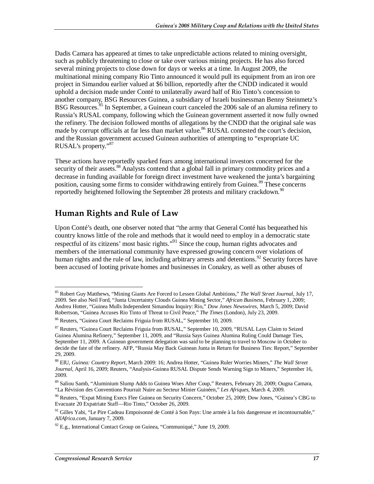Dadis Camara has appeared at times to take unpredictable actions related to mining oversight, such as publicly threatening to close or take over various mining projects. He has also forced several mining projects to close down for days or weeks at a time. In August 2009, the multinational mining company Rio Tinto announced it would pull its equipment from an iron ore project in Simandou earlier valued at \$6 billion, reportedly after the CNDD indicated it would uphold a decision made under Conté to unilaterally award half of Rio Tinto's concession to another company, BSG Resources Guinea, a subsidiary of Israeli businessman Benny Steinmetz's BSG Resources.<sup>85</sup> In September, a Guinean court canceled the 2006 sale of an alumina refinery to Russia's RUSAL company, following which the Guinean government asserted it now fully owned the refinery. The decision followed months of allegations by the CNDD that the original sale was made by corrupt officials at far less than market value.<sup>86</sup> RUSAL contested the court's decision, and the Russian government accused Guinean authorities of attempting to "expropriate UC RUSAL's property."87

These actions have reportedly sparked fears among international investors concerned for the security of their assets.<sup>88</sup> Analysts contend that a global fall in primary commodity prices and a decrease in funding available for foreign direct investment have weakened the junta's bargaining position, causing some firms to consider withdrawing entirely from Guinea.<sup>89</sup> These concerns reportedly heightened following the September 28 protests and military crackdown.<sup>90</sup>

## **Human Rights and Rule of Law**

Upon Conté's death, one observer noted that "the army that General Conté has bequeathed his country knows little of the role and methods that it would need to employ in a democratic state respectful of its citizens' most basic rights."91 Since the coup, human rights advocates and members of the international community have expressed growing concern over violations of human rights and the rule of law, including arbitrary arrests and detentions.<sup>92</sup> Security forces have been accused of looting private homes and businesses in Conakry, as well as other abuses of

<sup>-</sup>85 Robert Guy Matthews, "Mining Giants Are Forced to Lessen Global Ambitions," *The Wall Street Journal*, July 17, 2009. See also Neil Ford, "Junta Uncertainty Clouds Guinea Mining Sector," *African Business*, February 1, 2009; Andrea Hotter, "Guinea Mulls Independent Simandou Inquiry: Rio," *Dow Jones Newswires*, March 5, 2009; David Robertson, "Guinea Accuses Rio Tinto of Threat to Civil Peace," *The Times* (London), July 23, 2009.

<sup>86</sup> Reuters, "Guinea Court Reclaims Friguia from RUSAL," September 10, 2009.

<sup>87</sup> Reuters, "Guinea Court Reclaims Friguia from RUSAL," September 10, 2009, "RUSAL Lays Claim to Seized Guinea Alumina Refinery," September 11, 2009, and "Russia Says Guinea Alumina Ruling Could Damage Ties, September 11, 2009. A Guinean government delegation was said to be planning to travel to Moscow in October to decide the fate of the refinery. AFP, "Russia May Back Guinean Junta in Return for Business Ties: Report," September 29, 2009.

<sup>88</sup> EIU, *Guinea: Country Report*, March 2009: 16; Andrea Hotter, "Guinea Ruler Worries Miners," *The Wall Street Journal*, April 16, 2009; Reuters, "Analysis-Guinea RUSAL Dispute Sends Warning Sign to Miners," September 16, 2009.

<sup>89</sup> Saliou Samb, "Aluminium Slump Adds to Guinea Woes After Coup," Reuters, February 20, 2009; Ougna Camara, "La Révision des Conventions Pourrait Nuire au Secteur Minier Guinéen," *Les Afriques*, March 4, 2009.

<sup>&</sup>lt;sup>90</sup> Reuters, "Expat Mining Execs Flee Guinea on Security Concern," October 25, 2009; Dow Jones, "Guinea's CBG to Evacuate 20 Expatriate Staff—Rio Tinto," October 26, 2009.

<sup>&</sup>lt;sup>91</sup> Gilles Yabi, "Le Pire Cadeau Empoisonné de Conté à Son Pays: Une armée à la fois dangereuse et incontournable," *AllAfrica.com*, January 7, 2009.

 $92$  E.g., International Contact Group on Guinea, "Communiqué," June 19, 2009.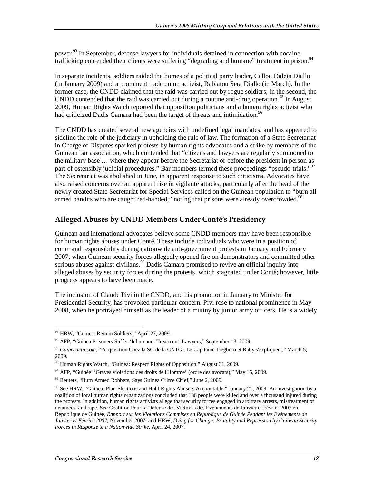power.<sup>93</sup> In September, defense lawyers for individuals detained in connection with cocaine trafficking contended their clients were suffering "degrading and humane" treatment in prison.<sup>94</sup>

In separate incidents, soldiers raided the homes of a political party leader, Cellou Dalein Diallo (in January 2009) and a prominent trade union activist, Rabiatou Sera Diallo (in March). In the former case, the CNDD claimed that the raid was carried out by rogue soldiers; in the second, the CNDD contended that the raid was carried out during a routine anti-drug operation.<sup>95</sup> In August 2009, Human Rights Watch reported that opposition politicians and a human rights activist who had criticized Dadis Camara had been the target of threats and intimidation.<sup>96</sup>

The CNDD has created several new agencies with undefined legal mandates, and has appeared to sideline the role of the judiciary in upholding the rule of law. The formation of a State Secretariat in Charge of Disputes sparked protests by human rights advocates and a strike by members of the Guinean bar association, which contended that "citizens and lawyers are regularly summoned to the military base … where they appear before the Secretariat or before the president in person as part of ostensibly judicial procedures." Bar members termed these proceedings "pseudo-trials."<sup>97</sup> The Secretariat was abolished in June, in apparent response to such criticisms. Advocates have also raised concerns over an apparent rise in vigilante attacks, particularly after the head of the newly created State Secretariat for Special Services called on the Guinean population to "burn all armed bandits who are caught red-handed," noting that prisons were already overcrowded.<sup>98</sup>

### **Alleged Abuses by CNDD Members Under Conté's Presidency**

Guinean and international advocates believe some CNDD members may have been responsible for human rights abuses under Conté. These include individuals who were in a position of command responsibility during nationwide anti-government protests in January and February 2007, when Guinean security forces allegedly opened fire on demonstrators and committed other serious abuses against civilians.<sup>99</sup> Dadis Camara promised to revive an official inquiry into alleged abuses by security forces during the protests, which stagnated under Conté; however, little progress appears to have been made.

The inclusion of Claude Pivi in the CNDD, and his promotion in January to Minister for Presidential Security, has provoked particular concern. Pivi rose to national prominence in May 2008, when he portrayed himself as the leader of a mutiny by junior army officers. He is a widely

<sup>&</sup>lt;u>.</u> <sup>93</sup> HRW, "Guinea: Rein in Soldiers," April 27, 2009.

<sup>&</sup>lt;sup>94</sup> AFP, "Guinea Prisoners Suffer 'Inhumane' Treatment: Lawyers," September 13, 2009.

<sup>95</sup> *Guineeactu.com*, "Perquisition Chez la SG de la CNTG : Le Capitaine Tiègboro et Raby s'expliquent," March 5, 2009.

<sup>&</sup>lt;sup>96</sup> Human Rights Watch, "Guinea: Respect Rights of Opposition," August 31, 2009.

<sup>97</sup> AFP, "Guinée: 'Graves violations des droits de l'Homme' (ordre des avocats)," May 15, 2009.

<sup>98</sup> Reuters, "Burn Armed Robbers, Says Guinea Crime Chief," June 2, 2009.

<sup>99</sup> See HRW, "Guinea: Plan Elections and Hold Rights Abusers Accountable," January 21, 2009. An investigation by a coalition of local human rights organizations concluded that 186 people were killed and over a thousand injured during the protests. In addition, human rights activists allege that security forces engaged in arbitrary arrests, mistreatment of detainees, and rape. See Coalition Pour la Défense des Victimes des Evénements de Janvier et Février 2007 en République de Guinée, *Rapport sur les Violations Commises en République de Guinée Pendant les Evénements de Janvier et Février 2007*, November 2007; and HRW, *Dying for Change: Brutality and Repression by Guinean Security Forces in Response to a Nationwide Strike*, April 24, 2007.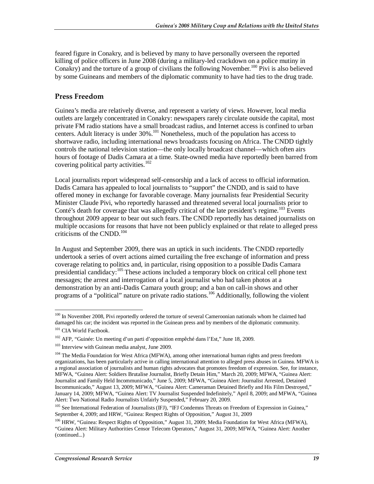feared figure in Conakry, and is believed by many to have personally overseen the reported killing of police officers in June 2008 (during a military-led crackdown on a police mutiny in Conakry) and the torture of a group of civilians the following November.<sup>100</sup> Pivi is also believed by some Guineans and members of the diplomatic community to have had ties to the drug trade.

### **Press Freedom**

Guinea's media are relatively diverse, and represent a variety of views. However, local media outlets are largely concentrated in Conakry: newspapers rarely circulate outside the capital, most private FM radio stations have a small broadcast radius, and Internet access is confined to urban centers. Adult literacy is under  $30\%$ <sup>101</sup> Nonetheless, much of the population has access to shortwave radio, including international news broadcasts focusing on Africa. The CNDD tightly controls the national television station—the only locally broadcast channel—which often airs hours of footage of Dadis Camara at a time. State-owned media have reportedly been barred from covering political party activities.<sup>102</sup>

Local journalists report widespread self-censorship and a lack of access to official information. Dadis Camara has appealed to local journalists to "support" the CNDD, and is said to have offered money in exchange for favorable coverage. Many journalists fear Presidential Security Minister Claude Pivi, who reportedly harassed and threatened several local journalists prior to Conté's death for coverage that was allegedly critical of the late president's regime.<sup>103</sup> Events throughout 2009 appear to bear out such fears. The CNDD reportedly has detained journalists on multiple occasions for reasons that have not been publicly explained or that relate to alleged press criticisms of the CNDD. $104$ 

In August and September 2009, there was an uptick in such incidents. The CNDD reportedly undertook a series of overt actions aimed curtailing the free exchange of information and press coverage relating to politics and, in particular, rising opposition to a possible Dadis Camara presidential candidacy:<sup>105</sup> These actions included a temporary block on critical cell phone text messages; the arrest and interrogation of a local journalist who had taken photos at a demonstration by an anti-Dadis Camara youth group; and a ban on call-in shows and other programs of a "political" nature on private radio stations.<sup>106</sup> Additionally, following the violent

<sup>&</sup>lt;u>.</u> <sup>100</sup> In November 2008, Pivi reportedly ordered the torture of several Cameroonian nationals whom he claimed had damaged his car; the incident was reported in the Guinean press and by members of the diplomatic community.

<sup>&</sup>lt;sup>101</sup> CIA World Factbook.

<sup>102</sup> AFP, "Guinée: Un meeting d'un parti d'opposition empêché dans l'Est," June 18, 2009.

<sup>&</sup>lt;sup>103</sup> Interview with Guinean media analyst, June 2009.

<sup>&</sup>lt;sup>104</sup> The Media Foundation for West Africa (MFWA), among other international human rights and press freedom organizations, has been particularly active in calling international attention to alleged press abuses in Guinea. MFWA is a regional association of journalists and human rights advocates that promotes freedom of expression. See, for instance, MFWA, "Guinea Alert: Soldiers Brutalise Journalist, Briefly Detain Him," March 20, 2009; MFWA, "Guinea Alert: Journalist and Family Held Incommunicado," June 5, 2009; MFWA, "Guinea Alert: Journalist Arrested, Detained Incommunicado," August 13, 2009; MFWA, "Guinea Alert: Cameraman Detained Briefly and His Film Destroyed," January 14, 2009; MFWA, "Guinea Alert: TV Journalist Suspended Indefinitely," April 8, 2009; and MFWA, "Guinea Alert: Two National Radio Journalists Unfairly Suspended," February 20, 2009.

<sup>&</sup>lt;sup>105</sup> See International Federation of Journalists (IFJ), "IFJ Condemns Threats on Freedom of Expression in Guinea," September 4, 2009; and HRW, "Guinea: Respect Rights of Opposition," August 31, 2009

<sup>&</sup>lt;sup>106</sup> HRW, "Guinea: Respect Rights of Opposition," August 31, 2009; Media Foundation for West Africa (MFWA), "Guinea Alert: Military Authorities Censor Telecom Operators," August 31, 2009; MFWA, "Guinea Alert: Another (continued...)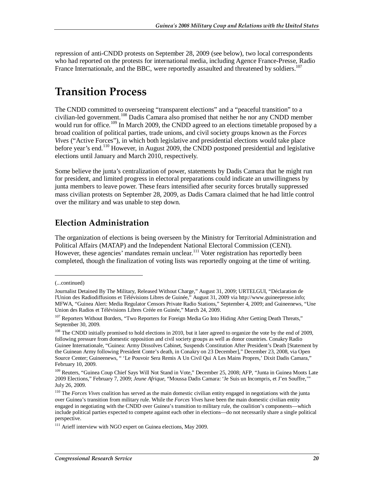repression of anti-CNDD protests on September 28, 2009 (see below), two local correspondents who had reported on the protests for international media, including Agence France-Presse, Radio France Internationale, and the BBC, were reportedly assaulted and threatened by soldiers.<sup>107</sup>

# **Transition Process**

The CNDD committed to overseeing "transparent elections" and a "peaceful transition" to a civilian-led government.<sup>108</sup> Dadis Camara also promised that neither he nor any CNDD member would run for office.<sup>109</sup> In March 2009, the CNDD agreed to an elections timetable proposed by a broad coalition of political parties, trade unions, and civil society groups known as the *Forces Vives* ("Active Forces"), in which both legislative and presidential elections would take place before year's end.<sup>110</sup> However, in August 2009, the CNDD postponed presidential and legislative elections until January and March 2010, respectively.

Some believe the junta's centralization of power, statements by Dadis Camara that he might run for president, and limited progress in electoral preparations could indicate an unwillingness by junta members to leave power. These fears intensified after security forces brutally suppressed mass civilian protests on September 28, 2009, as Dadis Camara claimed that he had little control over the military and was unable to step down.

## **Election Administration**

The organization of elections is being overseen by the Ministry for Territorial Administration and Political Affairs (MATAP) and the Independent National Electoral Commission (CENI). However, these agencies' mandates remain unclear.<sup>111</sup> Voter registration has reportedly been completed, though the finalization of voting lists was reportedly ongoing at the time of writing.

1

<sup>(...</sup>continued)

Journalist Detained By The Military, Released Without Charge," August 31, 2009; URTELGUI, "Déclaration de l'Union des Radiodiffusions et Télévisions Libres de Guinée," August 31, 2009 via http://www.guineepresse.info; MFWA, "Guinea Alert: Media Regulator Censors Private Radio Stations," September 4, 2009; and Guineenews, "Une Union des Radios et Télévisions Libres Créée en Guinée," March 24, 2009.

<sup>&</sup>lt;sup>107</sup> Reporters Without Borders, "Two Reporters for Foreign Media Go Into Hiding After Getting Death Threats," September 30, 2009.

<sup>&</sup>lt;sup>108</sup> The CNDD initially promised to hold elections in 2010, but it later agreed to organize the vote by the end of 2009, following pressure from domestic opposition and civil society groups as well as donor countries. Conakry Radio Guinee Internationale, "Guinea: Army Dissolves Cabinet, Suspends Constitution After President's Death [Statement by the Guinean Army following President Conte's death, in Conakry on 23 December]," December 23, 2008, via Open Source Center; Guineenews, " 'Le Pouvoir Sera Remis A Un Civil Qui A Les Mains Propres,' Dixit Dadis Camara," February 10, 2009.

<sup>&</sup>lt;sup>109</sup> Reuters, "Guinea Coup Chief Says Will Not Stand in Vote," December 25, 2008; AFP, "Junta in Guinea Moots Late 2009 Elections," February 7, 2009; *Jeune Afrique*, "Moussa Dadis Camara: 'Je Suis un Incompris, et J'en Souffre,'" July 26, 2009.

<sup>&</sup>lt;sup>110</sup> The *Forces Vives* coalition has served as the main domestic civilian entity engaged in negotiations with the junta over Guinea's transition from military rule. While the *Forces Vives* have been the main domestic civilian entity engaged in negotiating with the CNDD over Guinea's transition to military rule, the coalition's components—which include political parties expected to compete against each other in elections—do not necessarily share a single political perspective.

<sup>&</sup>lt;sup>111</sup> Arieff interview with NGO expert on Guinea elections, May 2009.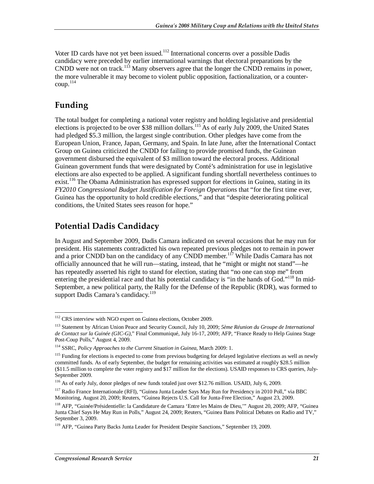Voter ID cards have not yet been issued.<sup>112</sup> International concerns over a possible Dadis candidacy were preceded by earlier international warnings that electoral preparations by the  $\widehat{\text{CNDD}}$  were not on track.<sup>113</sup> Many observers agree that the longer the  $\widehat{\text{CNDD}}$  remains in power, the more vulnerable it may become to violent public opposition, factionalization, or a counter $coup.<sup>114</sup>$ 

## **Funding**

The total budget for completing a national voter registry and holding legislative and presidential elections is projected to be over \$38 million dollars.<sup>115</sup> As of early July 2009, the United States had pledged \$5.3 million, the largest single contribution. Other pledges have come from the European Union, France, Japan, Germany, and Spain. In late June, after the International Contact Group on Guinea criticized the CNDD for failing to provide promised funds, the Guinean government disbursed the equivalent of \$3 million toward the electoral process. Additional Guinean government funds that were designated by Conté's administration for use in legislative elections are also expected to be applied. A significant funding shortfall nevertheless continues to exist.<sup>116</sup> The Obama Administration has expressed support for elections in Guinea, stating in its *FY2010 Congressional Budget Justification for Foreign Operations* that "for the first time ever, Guinea has the opportunity to hold credible elections," and that "despite deteriorating political conditions, the United States sees reason for hope."

## **Potential Dadis Candidacy**

In August and September 2009, Dadis Camara indicated on several occasions that he may run for president. His statements contradicted his own repeated previous pledges not to remain in power and a prior CNDD ban on the candidacy of any CNDD member.<sup>117</sup> While Dadis Camara has not officially announced that he will run—stating, instead, that he "might or might not stand"—he has repeatedly asserted his right to stand for election, stating that "no one can stop me" from entering the presidential race and that his potential candidacy is "in the hands of God."<sup>118</sup> In mid-September, a new political party, the Rally for the Defense of the Republic (RDR), was formed to support Dadis Camara's candidacy.<sup>119</sup>

<sup>-</sup><sup>112</sup> CRS interview with NGO expert on Guinea elections, October 2009.

<sup>113</sup> Statement by African Union Peace and Security Council, July 10, 2009; *5ème Réunion du Groupe de International de Contact sur la Guinée (GIC-G)*," Final Communiqué, July 16-17, 2009; AFP, "France Ready to Help Guinea Stage Post-Coup Polls," August 4, 2009.

<sup>114</sup> SSRC, *Policy Approaches to the Current Situation in Guinea*, March 2009: 1.

 $115$  Funding for elections is expected to come from previous budgeting for delayed legislative elections as well as newly committed funds. As of early September, the budget for remaining activities was estimated at roughly \$28.5 million (\$11.5 million to complete the voter registry and \$17 million for the elections). USAID responses to CRS queries, July-September 2009.

<sup>116</sup> As of early July, donor pledges of new funds totaled just over \$12.76 million. USAID, July 6, 2009.

<sup>117</sup> Radio France Internationale (RFI), "Guinea Junta Leader Says May Run for Presidency in 2010 Poll," via BBC Monitoring, August 20, 2009; Reuters, "Guinea Rejects U.S. Call for Junta-Free Election," August 23, 2009.

<sup>&</sup>lt;sup>118</sup> AFP, "Guinée/Présidentielle: la Candidature de Camara 'Entre les Mains de Dieu," August 20, 2009; AFP, "Guinea Junta Chief Says He May Run in Polls," August 24, 2009; Reuters, "Guinea Bans Political Debates on Radio and TV," September 3, 2009.

<sup>&</sup>lt;sup>119</sup> AFP, "Guinea Party Backs Junta Leader for President Despite Sanctions," September 19, 2009.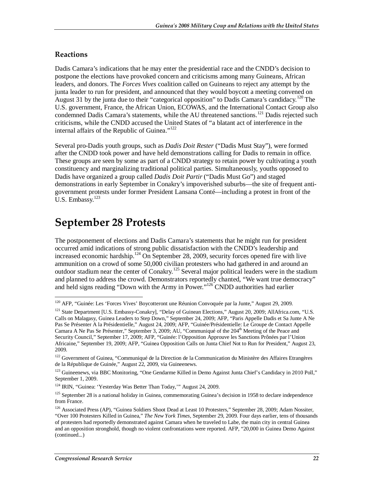### **Reactions**

Dadis Camara's indications that he may enter the presidential race and the CNDD's decision to postpone the elections have provoked concern and criticisms among many Guineans, African leaders, and donors. The *Forces Vives* coalition called on Guineans to reject any attempt by the junta leader to run for president, and announced that they would boycott a meeting convened on August 31 by the junta due to their "categorical opposition" to Dadis Camara's candidacy.<sup>120</sup> The U.S. government, France, the African Union, ECOWAS, and the International Contact Group also condemned Dadis Camara's statements, while the AU threatened sanctions.<sup>121</sup> Dadis rejected such criticisms, while the CNDD accused the United States of "a blatant act of interference in the internal affairs of the Republic of Guinea."<sup>122</sup>

Several pro-Dadis youth groups, such as *Dadis Doit Rester* ("Dadis Must Stay"), were formed after the CNDD took power and have held demonstrations calling for Dadis to remain in office. These groups are seen by some as part of a CNDD strategy to retain power by cultivating a youth constituency and marginalizing traditional political parties. Simultaneously, youths opposed to Dadis have organized a group called *Dadis Doit Partir* ("Dadis Must Go") and staged demonstrations in early September in Conakry's impoverished suburbs—the site of frequent antigovernment protests under former President Lansana Conté—including a protest in front of the U.S. Embassy.<sup>123</sup>

# **September 28 Protests**

The postponement of elections and Dadis Camara's statements that he might run for president occurred amid indications of strong public dissatisfaction with the CNDD's leadership and increased economic hardship.<sup>124</sup> On September 28, 2009, security forces opened fire with live ammunition on a crowd of some 50,000 civilian protesters who had gathered in and around an outdoor stadium near the center of Conakry.<sup>125</sup> Several major political leaders were in the stadium and planned to address the crowd. Demonstrators reportedly chanted, "We want true democracy" and held signs reading "Down with the Army in Power."126 CNDD authorities had earlier

<sup>&</sup>lt;u>.</u> <sup>120</sup> AFP, "Guinée: Les 'Forces Vives' Boycotteront une Réunion Convoquée par la Junte," August 29, 2009.

<sup>&</sup>lt;sup>121</sup> State Department [U.S. Embassy-Conakry], "Delay of Guinean Elections," August 20, 2009; AllAfrica.com, "U.S. Calls on Malagasy, Guinea Leaders to Step Down," September 24, 2009; AFP, "Paris Appelle Dadis et Sa Junte A Ne Pas Se Présenter A la Présidentielle," August 24, 2009; AFP, "Guinée/Présidentielle: Le Groupe de Contact Appelle Camara A Ne Pas Se Présenter," September 3, 2009; AU, "Communiqué of the  $204<sup>th</sup>$  Meeting of the Peace and Security Council," September 17, 2009; AFP, "Guinée: l'Opposition Approuve les Sanctions Prônées par l'Union Africaine," September 19, 2009; AFP, "Guinea Opposition Calls on Junta Chief Not to Run for President," August 23, 2009.

<sup>&</sup>lt;sup>122</sup> Government of Guinea, "Communiqué de la Direction de la Communication du Ministère des Affaires Etrangères de la République de Guinée," August 22, 2009, via Guineenews.

<sup>&</sup>lt;sup>123</sup> Guineenews, via BBC Monitoring, "One Gendarme Killed in Demo Against Junta Chief's Candidacy in 2010 Poll," September 1, 2009.

<sup>&</sup>lt;sup>124</sup> IRIN, "Guinea: 'Yesterday Was Better Than Today," August 24, 2009.

<sup>&</sup>lt;sup>125</sup> September 28 is a national holiday in Guinea, commemorating Guinea's decision in 1958 to declare independence from France.

<sup>&</sup>lt;sup>126</sup> Associated Press (AP), "Guinea Soldiers Shoot Dead at Least 10 Protesters," September 28, 2009; Adam Nossiter, "Over 100 Protesters Killed in Guinea," *The New York Times*, September 29, 2009. Four days earlier, tens of thousands of protesters had reportedly demonstrated against Camara when he traveled to Labe, the main city in central Guinea and an opposition stronghold, though no violent confrontations were reported. AFP, "20,000 in Guinea Demo Against (continued...)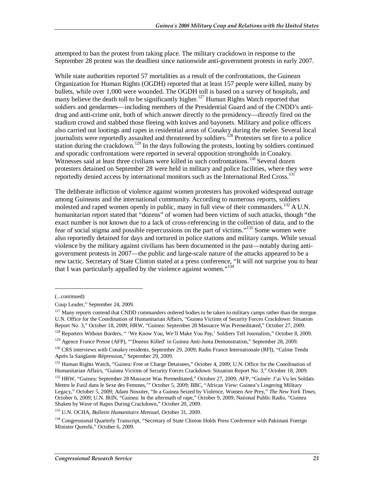attempted to ban the protest from taking place. The military crackdown in response to the September 28 protest was the deadliest since nationwide anti-government protests in early 2007.

While state authorities reported 57 mortalities as a result of the confrontations, the Guinean Organization for Human Rights (OGDH) reported that at least 157 people were killed, many by bullets, while over 1,000 were wounded. The OGDH toll is based on a survey of hospitals, and many believe the death toll to be significantly higher.<sup>127</sup> Human Rights Watch reported that soldiers and gendarmes—including members of the Presidential Guard and of the CNDD's antidrug and anti-crime unit, both of which answer directly to the presidency—directly fired on the stadium crowd and stabbed those fleeing with knives and bayonets. Military and police officers also carried out lootings and rapes in residential areas of Conakry during the melee. Several local journalists were reportedly assaulted and threatened by soldiers.<sup>128</sup> Protesters set fire to a police station during the crackdown.<sup>129</sup> In the days following the protests, looting by soldiers continued and sporadic confrontations were reported in several opposition strongholds in Conakry. Witnesses said at least three civilians were killed in such confrontations.<sup>130</sup> Several dozen protesters detained on September 28 were held in military and police facilities, where they were reportedly denied access by international monitors such as the International Red Cross.<sup>131</sup>

The deliberate infliction of violence against women protesters has provoked widespread outrage among Guineans and the international community. According to numerous reports, soldiers molested and raped women openly in public, many in full view of their commanders.<sup>132</sup> A U.N. humanitarian report stated that "dozens" of women had been victims of such attacks, though "the exact number is not known due to a lack of cross-referencing in the collection of data, and to the fear of social stigma and possible repercussions on the part of victims."133 Some women were also reportedly detained for days and tortured in police stations and military camps. While sexual violence by the military against civilians has been documented in the past—notably during antigovernment protests in 2007—the public and large-scale nature of the attacks appeared to be a new tactic. Secretary of State Clinton stated at a press conference, "It will not surprise you to hear that I was particularly appalled by the violence against women."<sup>134</sup>

<u>.</u>

<sup>128</sup> Reporters Without Borders, " 'We Know You, We'll Make You Pay,' Soldiers Tell Journalists," October 8, 2009.

129 Agence France Presse (AFP), "'Dozens Killed' in Guinea Anti-Junta Demonstration," September 28, 2009.

<sup>(...</sup>continued)

Coup Leader," September 24, 2009.

<sup>&</sup>lt;sup>127</sup> Many reports contend that CNDD commanders ordered bodies to be taken to military camps rather than the morgue. U.N. Office for the Coordination of Humanitarian Affairs, "Guinea Victims of Security Forces Crackdown: Situation Report No. 3," October 18, 2009; HRW, "Guinea: September 28 Massacre Was Premeditated," October 27, 2009.

<sup>&</sup>lt;sup>130</sup> CRS interviews with Conakry residents, September 29, 2009; Radio France Internationale (RFI), "Calme Tendu Après la Sanglante Répression," September 29, 2009.

<sup>&</sup>lt;sup>131</sup> Human Rights Watch, "Guinea: Free or Charge Detainees," October 4, 2009; U.N. Office for the Coordination of Humanitarian Affairs, "Guinea Victims of Security Forces Crackdown: Situation Report No. 3," October 18, 2009.

<sup>&</sup>lt;sup>132</sup> HRW, "Guinea: September 28 Massacre Was Premeditated," October 27, 2009; AFP, "Guinée: J'ai Vu les Soldats Mettre le Fusil dans le Sexe des Femmes,'" October 5, 2009; BBC, "African View: Guinea's Lingering Military Legacy," October 5, 2009; Adam Nossiter, "In a Guinea Seized by Violence, Women Are Prey," *The New York Times*, October 6, 2009; U.N. IRIN, "Guinea: In the aftermath of rape," October 9, 2009; National Public Radio, "Guinea Shaken by Wave of Rapes During Crackdown," October 20, 2009.

<sup>133</sup> U.N. OCHA, *Bulletin Humanitaire Mensuel*, October 31, 2009.

<sup>&</sup>lt;sup>134</sup> Congressional Quarterly Transcript, "Secretary of State Clinton Holds Press Conference with Pakistani Foreign Minister Qureshi," October 6, 2009.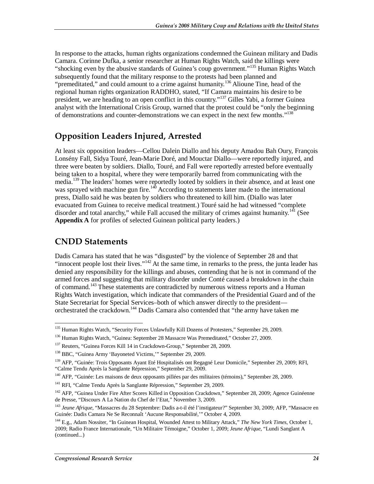In response to the attacks, human rights organizations condemned the Guinean military and Dadis Camara. Corinne Dufka, a senior researcher at Human Rights Watch, said the killings were "shocking even by the abusive standards of Guinea's coup government."<sup>135</sup> Human Rights Watch subsequently found that the military response to the protests had been planned and "premeditated," and could amount to a crime against humanity.<sup>136</sup> Alioune Tine, head of the regional human rights organization RADDHO, stated, "If Camara maintains his desire to be president, we are heading to an open conflict in this country."137 Gilles Yabi, a former Guinea analyst with the International Crisis Group, warned that the protest could be "only the beginning of demonstrations and counter-demonstrations we can expect in the next few months."138

## **Opposition Leaders Injured, Arrested**

At least six opposition leaders—Cellou Dalein Diallo and his deputy Amadou Bah Oury, François Lonsény Fall, Sidya Touré, Jean-Marie Doré, and Mouctar Diallo—were reportedly injured, and three were beaten by soldiers. Diallo, Touré, and Fall were reportedly arrested before eventually being taken to a hospital, where they were temporarily barred from communicating with the media.<sup>139</sup> The leaders' homes were reportedly looted by soldiers in their absence, and at least one was sprayed with machine gun fire.<sup>140</sup> According to statements later made to the international press, Diallo said he was beaten by soldiers who threatened to kill him. (Diallo was later evacuated from Guinea to receive medical treatment.) Touré said he had witnessed "complete disorder and total anarchy," while Fall accused the military of crimes against humanity.<sup>141</sup> (See **Appendix A** for profiles of selected Guinean political party leaders.)

## **CNDD Statements**

Dadis Camara has stated that he was "disgusted" by the violence of September 28 and that "innocent people lost their lives."<sup>142</sup> At the same time, in remarks to the press, the junta leader has denied any responsibility for the killings and abuses, contending that he is not in command of the armed forces and suggesting that military disorder under Conté caused a breakdown in the chain of command.<sup>143</sup> These statements are contradicted by numerous witness reports and a Human Rights Watch investigation, which indicate that commanders of the Presidential Guard and of the State Secretariat for Special Services–both of which answer directly to the president orchestrated the crackdown.144 Dadis Camara also contended that "the army have taken me

<sup>&</sup>lt;u>.</u> <sup>135</sup> Human Rights Watch, "Security Forces Unlawfully Kill Dozens of Protesters," September 29, 2009.

<sup>&</sup>lt;sup>136</sup> Human Rights Watch, "Guinea: September 28 Massacre Was Premeditated," October 27. 2009.

<sup>&</sup>lt;sup>137</sup> Reuters, "Guinea Forces Kill 14 in Crackdown-Group," September 28, 2009.

<sup>138</sup> BBC, "Guinea Army 'Bayoneted Victims,'" September 29, 2009.

<sup>&</sup>lt;sup>139</sup> AFP, "Guinée: Trois Opposants Ayant Eté Hospitalisés ont Regagné Leur Domicile," September 29, 2009; RFI, "Calme Tendu Après la Sanglante Répression," September 29, 2009.

<sup>&</sup>lt;sup>140</sup> AFP, "Guinée: Les maisons de deux opposants pillées par des militaires (témoins)," September 28, 2009.

<sup>&</sup>lt;sup>141</sup> RFI, "Calme Tendu Après la Sanglante Répression," September 29, 2009.

<sup>&</sup>lt;sup>142</sup> AFP, "Guinea Under Fire After Scores Killed in Opposition Crackdown," September 28, 2009; Agence Guinéenne de Presse, "Discours A La Nation du Chef de l'Etat," November 3, 2009.

<sup>143</sup> *Jeune Afrique*, "Massacres du 28 Septembre: Dadis a-t-il été l'instigateur?" September 30, 2009; AFP, "Massacre en Guinée: Dadis Camara Ne Se Reconnaît 'Aucune Responsabilité,'" October 4, 2009.

<sup>144</sup> E.g., Adam Nossiter, "In Guinean Hospital, Wounded Attest to Military Attack," *The New York Times*, October 1, 2009; Radio France Internationale, "Un Militaire Témoigne," October 1, 2009; *Jeune Afrique*, "Lundi Sanglant A (continued...)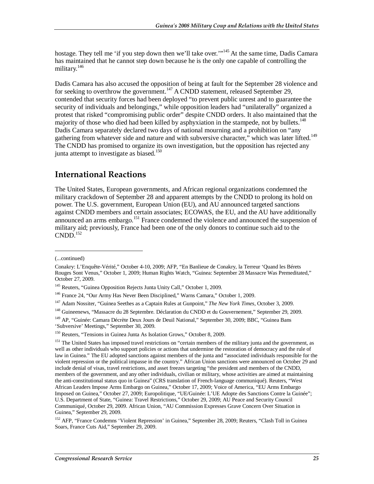hostage. They tell me 'if you step down then we'll take over."<sup>145</sup> At the same time, Dadis Camara has maintained that he cannot step down because he is the only one capable of controlling the military.<sup>146</sup>

Dadis Camara has also accused the opposition of being at fault for the September 28 violence and for seeking to overthrow the government.<sup>147</sup> A CNDD statement, released September 29, contended that security forces had been deployed "to prevent public unrest and to guarantee the security of individuals and belongings," while opposition leaders had "unilaterally" organized a protest that risked "compromising public order" despite CNDD orders. It also maintained that the majority of those who died had been killed by asphyxiation in the stampede, not by bullets.<sup>148</sup> Dadis Camara separately declared two days of national mourning and a prohibition on "any gathering from whatever side and nature and with subversive character," which was later lifted.<sup>149</sup> The CNDD has promised to organize its own investigation, but the opposition has rejected any junta attempt to investigate as biased.<sup>150</sup>

### **International Reactions**

The United States, European governments, and African regional organizations condemned the military crackdown of September 28 and apparent attempts by the CNDD to prolong its hold on power. The U.S. government, European Union (EU), and AU announced targeted sanctions against CNDD members and certain associates; ECOWAS, the EU, and the AU have additionally announced an arms embargo.151 France condemned the violence and announced the suspension of military aid; previously, France had been one of the only donors to continue such aid to the  $CNDD.<sup>152</sup>$ 

1

<sup>(...</sup>continued)

Conakry: L'Enquête-Vérité," October 4-10, 2009; AFP, "En Banlieue de Conakry, la Terreur 'Quand les Bérets Rouges Sont Venus," October 1, 2009; Human Rights Watch, "Guinea: September 28 Massacre Was Premeditated," October 27, 2009.

<sup>&</sup>lt;sup>145</sup> Reuters, "Guinea Opposition Rejects Junta Unity Call," October 1, 2009.

<sup>146</sup> France 24, "Our Army Has Never Been Disciplined," Warns Camara," October 1, 2009.

<sup>147</sup> Adam Nossiter, "Guinea Seethes as a Captain Rules at Gunpoint," *The New York Times*, October 3, 2009.

<sup>&</sup>lt;sup>148</sup> Guineenews, "Massacre du 28 Septembre. Déclaration du CNDD et du Gouvernement," September 29, 2009.

<sup>149</sup> AP, "Guinée: Camara Décrète Deux Jours de Deuil National," September 30, 2009; BBC, "Guinea Bans 'Subversive' Meetings," September 30, 2009.

<sup>150</sup> Reuters, "Tensions in Guinea Junta As Isolation Grows," October 8, 2009.

<sup>&</sup>lt;sup>151</sup> The United States has imposed travel restrictions on "certain members of the military junta and the government, as well as other individuals who support policies or actions that undermine the restoration of democracy and the rule of law in Guinea." The EU adopted sanctions against members of the junta and "associated individuals responsible for the violent repression or the political impasse in the country." African Union sanctions were announced on October 29 and include denial of visas, travel restrictions, and asset freezes targeting "the president and members of the CNDD, members of the government, and any other individuals, civilian or military, whose activities are aimed at maintaining the anti-constitutional status quo in Guinea" (CRS translation of French-language communiqué). Reuters, "West African Leaders Impose Arms Embargo on Guinea," October 17, 2009; Voice of America, "EU Arms Embargo Imposed on Guinea," October 27, 2009; Europolitique, "UE/Guinée: L'UE Adopte des Sanctions Contre la Guinée"; U.S. Department of State, "Guinea: Travel Restrictions," October 29, 2009; AU Peace and Security Council Communiqué, October 29, 2009. African Union, "AU Commission Expresses Grave Concern Over Situation in Guinea," September 29, 2009.

<sup>&</sup>lt;sup>152</sup> AFP, "France Condemns 'Violent Repression' in Guinea," September 28, 2009; Reuters, "Clash Toll in Guinea Soars, France Cuts Aid," September 29, 2009.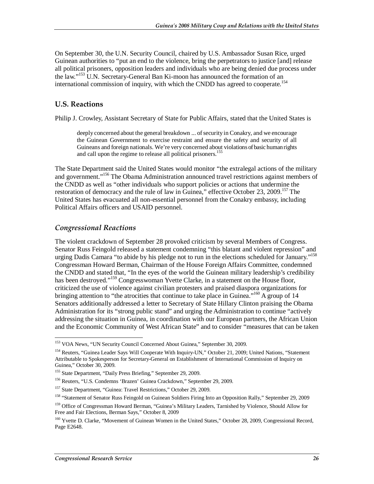On September 30, the U.N. Security Council, chaired by U.S. Ambassador Susan Rice, urged Guinean authorities to "put an end to the violence, bring the perpetrators to justice [and] release all political prisoners, opposition leaders and individuals who are being denied due process under the law."<sup>153</sup> U.N. Secretary-General Ban Ki-moon has announced the formation of an international commission of inquiry, with which the CNDD has agreed to cooperate.<sup>154</sup>

### **U.S. Reactions**

Philip J. Crowley, Assistant Secretary of State for Public Affairs, stated that the United States is

deeply concerned about the general breakdown ... of security in Conakry, and we encourage the Guinean Government to exercise restraint and ensure the safety and security of all Guineans and foreign nationals. We're very concerned about violations of basic human rights and call upon the regime to release all political prisoners.<sup>155</sup>

The State Department said the United States would monitor "the extralegal actions of the military and government."<sup>156</sup> The Obama Administration announced travel restrictions against members of the CNDD as well as "other individuals who support policies or actions that undermine the restoration of democracy and the rule of law in Guinea," effective October 23, 2009.<sup>157</sup> The United States has evacuated all non-essential personnel from the Conakry embassy, including Political Affairs officers and USAID personnel.

#### *Congressional Reactions*

The violent crackdown of September 28 provoked criticism by several Members of Congress. Senator Russ Feingold released a statement condemning "this blatant and violent repression" and urging Dadis Camara "to abide by his pledge not to run in the elections scheduled for January."<sup>158</sup> Congressman Howard Berman, Chairman of the House Foreign Affairs Committee, condemned the CNDD and stated that, "In the eyes of the world the Guinean military leadership's credibility has been destroyed."<sup>159</sup> Congresswoman Yvette Clarke, in a statement on the House floor, criticized the use of violence against civilian protesters and praised diaspora organizations for bringing attention to "the atrocities that continue to take place in Guinea."<sup>160</sup> A group of 14 Senators additionally addressed a letter to Secretary of State Hillary Clinton praising the Obama Administration for its "strong public stand" and urging the Administration to continue "actively addressing the situation in Guinea, in coordination with our European partners, the African Union and the Economic Community of West African State" and to consider "measures that can be taken

<sup>-</sup><sup>153</sup> VOA News, "UN Security Council Concerned About Guinea," September 30, 2009.

<sup>&</sup>lt;sup>154</sup> Reuters, "Guinea Leader Says Will Cooperate With Inquiry-UN," October 21, 2009; United Nations, "Statement Attributable to Spokesperson for Secretary-General on Establishment of International Commission of Inquiry on Guinea," October 30, 2009.

<sup>155</sup> State Department, "Daily Press Briefing," September 29, 2009.

<sup>156</sup> Reuters, "U.S. Condemns 'Brazen' Guinea Crackdown," September 29, 2009.

<sup>157</sup> State Department, "Guinea: Travel Restrictions," October 29, 2009.

<sup>&</sup>lt;sup>158</sup> "Statement of Senator Russ Feingold on Guinean Soldiers Firing Into an Opposition Rally," September 29, 2009

<sup>&</sup>lt;sup>159</sup> Office of Congressman Howard Berman, "Guinea's Military Leaders, Tarnished by Violence, Should Allow for Free and Fair Elections, Berman Says," October 8, 2009

<sup>&</sup>lt;sup>160</sup> Yvette D. Clarke, "Movement of Guinean Women in the United States," October 28, 2009, Congressional Record, Page E2648.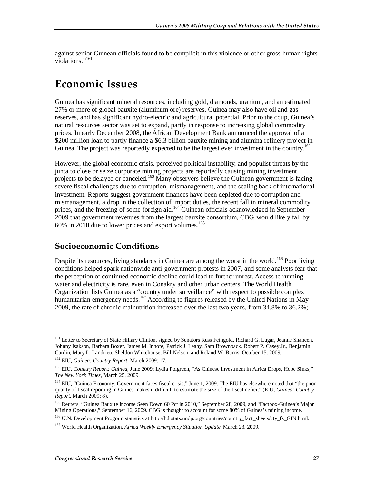against senior Guinean officials found to be complicit in this violence or other gross human rights violations."<sup>161</sup>

# **Economic Issues**

Guinea has significant mineral resources, including gold, diamonds, uranium, and an estimated 27% or more of global bauxite (aluminum ore) reserves. Guinea may also have oil and gas reserves, and has significant hydro-electric and agricultural potential. Prior to the coup, Guinea's natural resources sector was set to expand, partly in response to increasing global commodity prices. In early December 2008, the African Development Bank announced the approval of a \$200 million loan to partly finance a \$6.3 billion bauxite mining and alumina refinery project in Guinea. The project was reportedly expected to be the largest ever investment in the country.<sup>162</sup>

However, the global economic crisis, perceived political instability, and populist threats by the junta to close or seize corporate mining projects are reportedly causing mining investment projects to be delayed or canceled.<sup>163</sup> Many observers believe the Guinean government is facing severe fiscal challenges due to corruption, mismanagement, and the scaling back of international investment. Reports suggest government finances have been depleted due to corruption and mismanagement, a drop in the collection of import duties, the recent fall in mineral commodity prices, and the freezing of some foreign aid.<sup>164</sup> Guinean officials acknowledged in September 2009 that government revenues from the largest bauxite consortium, CBG, would likely fall by  $60\%$  in 2010 due to lower prices and export volumes.<sup>165</sup>

### **Socioeconomic Conditions**

Despite its resources, living standards in Guinea are among the worst in the world.<sup>166</sup> Poor living conditions helped spark nationwide anti-government protests in 2007, and some analysts fear that the perception of continued economic decline could lead to further unrest. Access to running water and electricity is rare, even in Conakry and other urban centers. The World Health Organization lists Guinea as a "country under surveillance" with respect to possible complex humanitarian emergency needs.<sup>167</sup> According to figures released by the United Nations in May 2009, the rate of chronic malnutrition increased over the last two years, from 34.8% to 36.2%;

-

<sup>166</sup> U.N. Development Program statistics at http://hdrstats.undp.org/countries/country\_fact\_sheets/cty\_fs\_GIN.html.

<sup>&</sup>lt;sup>161</sup> Letter to Secretary of State Hillary Clinton, signed by Senators Russ Feingold, Richard G. Lugar, Jeanne Shaheen, Johnny Isakson, Barbara Boxer, James M. Inhofe, Patrick J. Leahy, Sam Brownback, Robert P. Casey Jr., Benjamin Cardin, Mary L. Landrieu, Sheldon Whitehouse, Bill Nelson, and Roland W. Burris, October 15, 2009.

<sup>162</sup> EIU, *Guinea: Country Report*, March 2009: 17.

<sup>&</sup>lt;sup>163</sup> EIU, *Country Report: Guinea*, June 2009; Lydia Polgreen, "As Chinese Investment in Africa Drops, Hope Sinks," *The New York Times*, March 25, 2009.

<sup>&</sup>lt;sup>164</sup> EIU, "Guinea Economy: Government faces fiscal crisis," June 1, 2009. The EIU has elsewhere noted that "the poor quality of fiscal reporting in Guinea makes it difficult to estimate the size of the fiscal deficit" (EIU, *Guinea: Country Report*, March 2009: 8).

<sup>&</sup>lt;sup>165</sup> Reuters, "Guinea Bauxite Income Seen Down 60 Pct in 2010," September 28, 2009, and "Factbox-Guinea's Major Mining Operations," September 16, 2009. CBG is thought to account for some 80% of Guinea's mining income.

<sup>167</sup> World Health Organization, *Africa Weekly Emergency Situation Update*, March 23, 2009.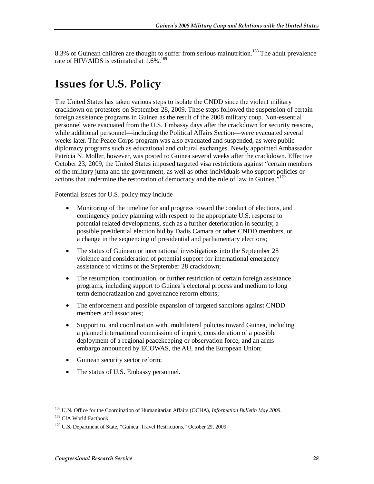8.3% of Guinean children are thought to suffer from serious malnutrition.<sup>168</sup> The adult prevalence rate of HIV/AIDS is estimated at  $1.6\%$ .<sup>169</sup>

# **Issues for U.S. Policy**

The United States has taken various steps to isolate the CNDD since the violent military crackdown on protesters on September 28, 2009. These steps followed the suspension of certain foreign assistance programs in Guinea as the result of the 2008 military coup. Non-essential personnel were evacuated from the U.S. Embassy days after the crackdown for security reasons, while additional personnel—including the Political Affairs Section—were evacuated several weeks later. The Peace Corps program was also evacuated and suspended, as were public diplomacy programs such as educational and cultural exchanges. Newly appointed Ambassador Patricia N. Moller, however, was posted to Guinea several weeks after the crackdown. Effective October 23, 2009, the United States imposed targeted visa restrictions against "certain members of the military junta and the government, as well as other individuals who support policies or actions that undermine the restoration of democracy and the rule of law in Guinea."<sup>170</sup>

Potential issues for U.S. policy may include

- Monitoring of the timeline for and progress toward the conduct of elections, and contingency policy planning with respect to the appropriate U.S. response to potential related developments, such as a further deterioration in security, a possible presidential election bid by Dadis Camara or other CNDD members, or a change in the sequencing of presidential and parliamentary elections;
- The status of Guinean or international investigations into the September 28 violence and consideration of potential support for international emergency assistance to victims of the September 28 crackdown;
- The resumption, continuation, or further restriction of certain foreign assistance programs, including support to Guinea's electoral process and medium to long term democratization and governance reform efforts;
- The enforcement and possible expansion of targeted sanctions against CNDD members and associates;
- Support to, and coordination with, multilateral policies toward Guinea, including a planned international commission of inquiry, consideration of a possible deployment of a regional peacekeeping or observation force, and an arms embargo announced by ECOWAS, the AU, and the European Union;
- Guinean security sector reform;
- The status of U.S. Embassy personnel.

-

<sup>168</sup> U.N. Office for the Coordination of Humanitarian Affairs (OCHA), *Information Bulletin May 2009*. <sup>169</sup> CIA World Factbook.

<sup>&</sup>lt;sup>170</sup> U.S. Department of State, "Guinea: Travel Restrictions," October 29, 2009.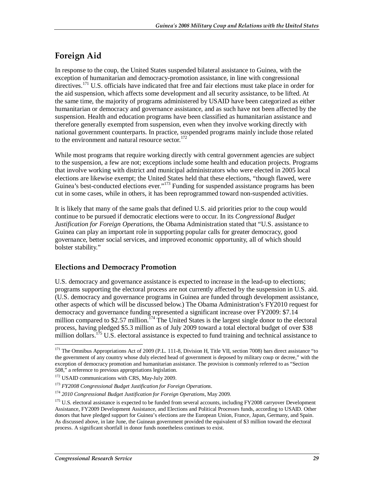## **Foreign Aid**

In response to the coup, the United States suspended bilateral assistance to Guinea, with the exception of humanitarian and democracy-promotion assistance, in line with congressional directives.171 U.S. officials have indicated that free and fair elections must take place in order for the aid suspension, which affects some development and all security assistance, to be lifted. At the same time, the majority of programs administered by USAID have been categorized as either humanitarian or democracy and governance assistance, and as such have not been affected by the suspension. Health and education programs have been classified as humanitarian assistance and therefore generally exempted from suspension, even when they involve working directly with national government counterparts. In practice, suspended programs mainly include those related to the environment and natural resource sector. $172$ 

While most programs that require working directly with central government agencies are subject to the suspension, a few are not; exceptions include some health and education projects. Programs that involve working with district and municipal administrators who were elected in 2005 local elections are likewise exempt; the United States held that these elections, "though flawed, were Guinea's best-conducted elections ever."<sup>173</sup> Funding for suspended assistance programs has been cut in some cases, while in others, it has been reprogrammed toward non-suspended activities.

It is likely that many of the same goals that defined U.S. aid priorities prior to the coup would continue to be pursued if democratic elections were to occur. In its *Congressional Budget Justification for Foreign Operations*, the Obama Administration stated that "U.S. assistance to Guinea can play an important role in supporting popular calls for greater democracy, good governance, better social services, and improved economic opportunity, all of which should bolster stability."

### **Elections and Democracy Promotion**

U.S. democracy and governance assistance is expected to increase in the lead-up to elections; programs supporting the electoral process are not currently affected by the suspension in U.S. aid. (U.S. democracy and governance programs in Guinea are funded through development assistance, other aspects of which will be discussed below.) The Obama Administration's FY2010 request for democracy and governance funding represented a significant increase over FY2009: \$7.14 million compared to \$2.57 million.<sup> $174$ </sup> The United States is the largest single donor to the electoral process, having pledged \$5.3 million as of July 2009 toward a total electoral budget of over \$38 million dollars.<sup>175</sup> U.S. electoral assistance is expected to fund training and technical assistance to

<sup>&</sup>lt;u>.</u> <sup>171</sup> The Omnibus Appropriations Act of 2009 (P.L. 111-8, Division H, Title VII, section 7008) bars direct assistance "to the government of any country whose duly elected head of government is deposed by military coup or decree," with the exception of democracy promotion and humanitarian assistance. The provision is commonly referred to as "Section 508," a reference to previous appropriations legislation.

<sup>&</sup>lt;sup>172</sup> USAID communications with CRS, May-July 2009.

<sup>173</sup> *FY2008 Congressional Budget Justification for Foreign Operations*.

<sup>174</sup> *2010 Congressional Budget Justification for Foreign Operations*, May 2009.

<sup>&</sup>lt;sup>175</sup> U.S. electoral assistance is expected to be funded from several accounts, including FY2008 carryover Development Assistance, FY2009 Development Assistance, and Elections and Political Processes funds, according to USAID. Other donors that have pledged support for Guinea's elections are the European Union, France, Japan, Germany, and Spain. As discussed above, in late June, the Guinean government provided the equivalent of \$3 million toward the electoral process. A significant shortfall in donor funds nonetheless continues to exist.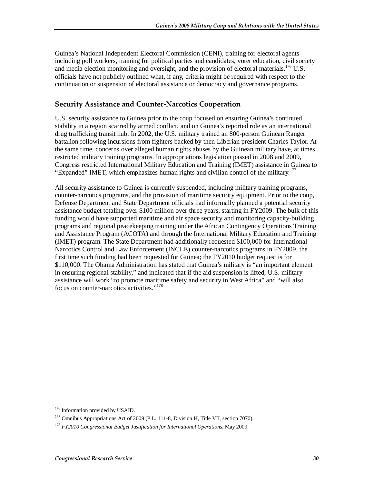Guinea's National Independent Electoral Commission (CENI), training for electoral agents including poll workers, training for political parties and candidates, voter education, civil society and media election monitoring and oversight, and the provision of electoral materials.<sup>176</sup> U.S. officials have not publicly outlined what, if any, criteria might be required with respect to the continuation or suspension of electoral assistance or democracy and governance programs.

### **Security Assistance and Counter-Narcotics Cooperation**

U.S. security assistance to Guinea prior to the coup focused on ensuring Guinea's continued stability in a region scarred by armed conflict, and on Guinea's reported role as an international drug trafficking transit hub. In 2002, the U.S. military trained an 800-person Guinean Ranger battalion following incursions from fighters backed by then-Liberian president Charles Taylor. At the same time, concerns over alleged human rights abuses by the Guinean military have, at times, restricted military training programs. In appropriations legislation passed in 2008 and 2009, Congress restricted International Military Education and Training (IMET) assistance in Guinea to "Expanded" IMET, which emphasizes human rights and civilian control of the military.<sup>177</sup>

All security assistance to Guinea is currently suspended, including military training programs, counter-narcotics programs, and the provision of maritime security equipment. Prior to the coup, Defense Department and State Department officials had informally planned a potential security assistance budget totaling over \$100 million over three years, starting in FY2009. The bulk of this funding would have supported maritime and air space security and monitoring capacity-building programs and regional peacekeeping training under the African Contingency Operations Training and Assistance Program (ACOTA) and through the International Military Education and Training (IMET) program. The State Department had additionally requested \$100,000 for International Narcotics Control and Law Enforcement (INCLE) counter-narcotics programs in FY2009, the first time such funding had been requested for Guinea; the FY2010 budget request is for \$110,000. The Obama Administration has stated that Guinea's military is "an important element in ensuring regional stability," and indicated that if the aid suspension is lifted, U.S. military assistance will work "to promote maritime safety and security in West Africa" and "will also focus on counter-narcotics activities."<sup>178</sup>

-

<sup>&</sup>lt;sup>176</sup> Information provided by USAID.

<sup>&</sup>lt;sup>177</sup> Omnibus Appropriations Act of 2009 (P.L. 111-8, Division H, Title VII, section 7070).

<sup>178</sup> *FY2010 Congressional Budget Justification for International Operations*, May 2009.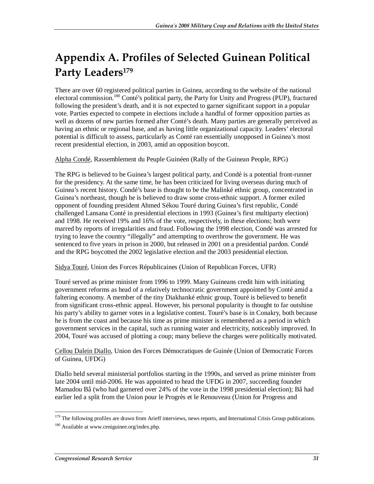# **Appendix A. Profiles of Selected Guinean Political**  Party Leaders<sup>179</sup>

There are over 60 registered political parties in Guinea, according to the website of the national electoral commission.<sup>180</sup> Conté's political party, the Party for Unity and Progress (PUP), fractured following the president's death, and it is not expected to garner significant support in a popular vote. Parties expected to compete in elections include a handful of former opposition parties as well as dozens of new parties formed after Conté's death. Many parties are generally perceived as having an ethnic or regional base, and as having little organizational capacity. Leaders' electoral potential is difficult to assess, particularly as Conté ran essentially unopposed in Guinea's most recent presidential election, in 2003, amid an opposition boycott.

Alpha Condé, Rassemblement du Peuple Guinéen (Rally of the Guinean People, RPG)

The RPG is believed to be Guinea's largest political party, and Condé is a potential front-runner for the presidency. At the same time, he has been criticized for living overseas during much of Guinea's recent history. Condé's base is thought to be the Malinké ethnic group, concentrated in Guinea's northeast, though he is believed to draw some cross-ethnic support. A former exiled opponent of founding president Ahmed Sékou Touré during Guinea's first republic, Condé challenged Lansana Conté in presidential elections in 1993 (Guinea's first multiparty election) and 1998. He received 19% and 16% of the vote, respectively, in these elections; both were marred by reports of irregularities and fraud. Following the 1998 election, Condé was arrested for trying to leave the country "illegally" and attempting to overthrow the government. He was sentenced to five years in prison in 2000, but released in 2001 on a presidential pardon. Condé and the RPG boycotted the 2002 legislative election and the 2003 presidential election.

Sidya Touré, Union des Forces Républicaines (Union of Republican Forces, UFR)

Touré served as prime minister from 1996 to 1999. Many Guineans credit him with initiating government reforms as head of a relatively technocratic government appointed by Conté amid a faltering economy. A member of the tiny Diakhanké ethnic group, Touré is believed to benefit from significant cross-ethnic appeal. However, his personal popularity is thought to far outshine his party's ability to garner votes in a legislative contest. Touré's base is in Conakry, both because he is from the coast and because his time as prime minister is remembered as a period in which government services in the capital, such as running water and electricity, noticeably improved. In 2004, Touré was accused of plotting a coup; many believe the charges were politically motivated.

Cellou Dalein Diallo, Union des Forces Démocratiques de Guinée (Union of Democratic Forces of Guinea, UFDG)

Diallo held several ministerial portfolios starting in the 1990s, and served as prime minister from late 2004 until mid-2006. He was appointed to head the UFDG in 2007, succeeding founder Mamadou Bâ (who had garnered over 24% of the vote in the 1998 presidential election); Bâ had earlier led a split from the Union pour le Progrès et le Renouveau (Union for Progress and

 $\frac{1}{1}$ <sup>179</sup> The following profiles are drawn from Arieff interviews, news reports, and International Crisis Group publications.

<sup>&</sup>lt;sup>180</sup> Available at www.ceniguinee.org/index.php.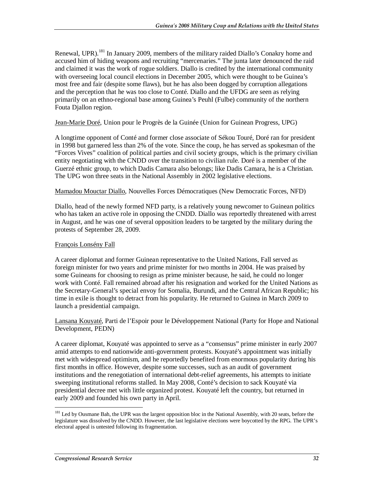Renewal, UPR).<sup>181</sup> In January 2009, members of the military raided Diallo's Conakry home and accused him of hiding weapons and recruiting "mercenaries." The junta later denounced the raid and claimed it was the work of rogue soldiers. Diallo is credited by the international community with overseeing local council elections in December 2005, which were thought to be Guinea's most free and fair (despite some flaws), but he has also been dogged by corruption allegations and the perception that he was too close to Conté. Diallo and the UFDG are seen as relying primarily on an ethno-regional base among Guinea's Peuhl (Fulbe) community of the northern Fouta Djallon region.

#### Jean-Marie Doré, Union pour le Progrès de la Guinée (Union for Guinean Progress, UPG)

A longtime opponent of Conté and former close associate of Sékou Touré, Doré ran for president in 1998 but garnered less than 2% of the vote. Since the coup, he has served as spokesman of the "Forces Vives" coalition of political parties and civil society groups, which is the primary civilian entity negotiating with the CNDD over the transition to civilian rule. Doré is a member of the Guerzé ethnic group, to which Dadis Camara also belongs; like Dadis Camara, he is a Christian. The UPG won three seats in the National Assembly in 2002 legislative elections.

#### Mamadou Mouctar Diallo, Nouvelles Forces Démocratiques (New Democratic Forces, NFD)

Diallo, head of the newly formed NFD party, is a relatively young newcomer to Guinean politics who has taken an active role in opposing the CNDD. Diallo was reportedly threatened with arrest in August, and he was one of several opposition leaders to be targeted by the military during the protests of September 28, 2009.

#### François Lonsény Fall

A career diplomat and former Guinean representative to the United Nations, Fall served as foreign minister for two years and prime minister for two months in 2004. He was praised by some Guineans for choosing to resign as prime minister because, he said, he could no longer work with Conté. Fall remained abroad after his resignation and worked for the United Nations as the Secretary-General's special envoy for Somalia, Burundi, and the Central African Republic; his time in exile is thought to detract from his popularity. He returned to Guinea in March 2009 to launch a presidential campaign.

Lansana Kouyaté, Parti de l'Espoir pour le Développement National (Party for Hope and National Development, PEDN)

A career diplomat, Kouyaté was appointed to serve as a "consensus" prime minister in early 2007 amid attempts to end nationwide anti-government protests. Kouyaté's appointment was initially met with widespread optimism, and he reportedly benefited from enormous popularity during his first months in office. However, despite some successes, such as an audit of government institutions and the renegotiation of international debt-relief agreements, his attempts to initiate sweeping institutional reforms stalled. In May 2008, Conté's decision to sack Kouyaté via presidential decree met with little organized protest. Kouyaté left the country, but returned in early 2009 and founded his own party in April.

-

<sup>&</sup>lt;sup>181</sup> Led by Ousmane Bah, the UPR was the largest opposition bloc in the National Assembly, with 20 seats, before the legislature was dissolved by the CNDD. However, the last legislative elections were boycotted by the RPG. The UPR's electoral appeal is untested following its fragmentation.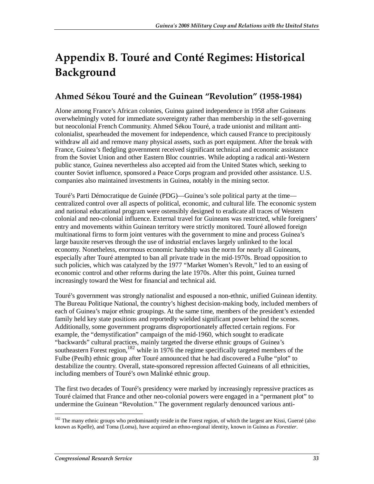# **Appendix B. Touré and Conté Regimes: Historical Background**

## **Ahmed Sékou Touré and the Guinean "Revolution" (1958-1984)**

Alone among France's African colonies, Guinea gained independence in 1958 after Guineans overwhelmingly voted for immediate sovereignty rather than membership in the self-governing but neocolonial French Community. Ahmed Sékou Touré, a trade unionist and militant anticolonialist, spearheaded the movement for independence, which caused France to precipitously withdraw all aid and remove many physical assets, such as port equipment. After the break with France, Guinea's fledgling government received significant technical and economic assistance from the Soviet Union and other Eastern Bloc countries. While adopting a radical anti-Western public stance, Guinea nevertheless also accepted aid from the United States which, seeking to counter Soviet influence, sponsored a Peace Corps program and provided other assistance. U.S. companies also maintained investments in Guinea, notably in the mining sector.

Touré's Parti Démocratique de Guinée (PDG)—Guinea's sole political party at the time centralized control over all aspects of political, economic, and cultural life. The economic system and national educational program were ostensibly designed to eradicate all traces of Western colonial and neo-colonial influence. External travel for Guineans was restricted, while foreigners' entry and movements within Guinean territory were strictly monitored. Touré allowed foreign multinational firms to form joint ventures with the government to mine and process Guinea's large bauxite reserves through the use of industrial enclaves largely unlinked to the local economy. Nonetheless, enormous economic hardship was the norm for nearly all Guineans, especially after Touré attempted to ban all private trade in the mid-1970s. Broad opposition to such policies, which was catalyzed by the 1977 "Market Women's Revolt," led to an easing of economic control and other reforms during the late 1970s. After this point, Guinea turned increasingly toward the West for financial and technical aid.

Touré's government was strongly nationalist and espoused a non-ethnic, unified Guinean identity. The Bureau Politique National, the country's highest decision-making body, included members of each of Guinea's major ethnic groupings. At the same time, members of the president's extended family held key state positions and reportedly wielded significant power behind the scenes. Additionally, some government programs disproportionately affected certain regions. For example, the "demystification" campaign of the mid-1960, which sought to eradicate "backwards" cultural practices, mainly targeted the diverse ethnic groups of Guinea's southeastern Forest region,  $182$  while in 1976 the regime specifically targeted members of the Fulbe (Peulh) ethnic group after Touré announced that he had discovered a Fulbe "plot" to destabilize the country. Overall, state-sponsored repression affected Guineans of all ethnicities, including members of Touré's own Malinké ethnic group.

The first two decades of Touré's presidency were marked by increasingly repressive practices as Touré claimed that France and other neo-colonial powers were engaged in a "permanent plot" to undermine the Guinean "Revolution." The government regularly denounced various anti-

-

<sup>&</sup>lt;sup>182</sup> The many ethnic groups who predominantly reside in the Forest region, of which the largest are Kissi, Guerzé (also known as Kpelle), and Toma (Loma), have acquired an ethno-regional identity, known in Guinea as *Forestier*.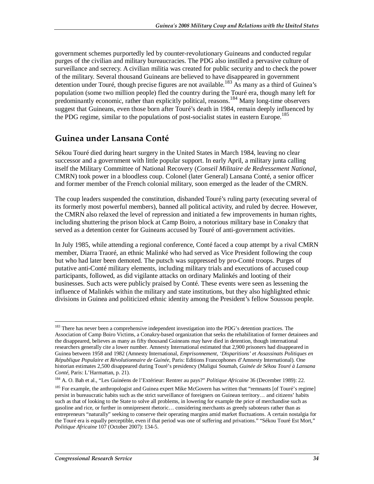government schemes purportedly led by counter-revolutionary Guineans and conducted regular purges of the civilian and military bureaucracies. The PDG also instilled a pervasive culture of surveillance and secrecy. A civilian militia was created for public security and to check the power of the military. Several thousand Guineans are believed to have disappeared in government detention under Touré, though precise figures are not available.<sup>183</sup> As many as a third of Guinea's population (some two million people) fled the country during the Touré era, though many left for predominantly economic, rather than explicitly political, reasons.184 Many long-time observers suggest that Guineans, even those born after Touré's death in 1984, remain deeply influenced by the PDG regime, similar to the populations of post-socialist states in eastern Europe.<sup>185</sup>

## **Guinea under Lansana Conté**

Sékou Touré died during heart surgery in the United States in March 1984, leaving no clear successor and a government with little popular support. In early April, a military junta calling itself the Military Committee of National Recovery (*Conseil Militaire de Redressement National*, CMRN) took power in a bloodless coup. Colonel (later General) Lansana Conté, a senior officer and former member of the French colonial military, soon emerged as the leader of the CMRN.

The coup leaders suspended the constitution, disbanded Touré's ruling party (executing several of its formerly most powerful members), banned all political activity, and ruled by decree. However, the CMRN also relaxed the level of repression and initiated a few improvements in human rights, including shuttering the prison block at Camp Boiro, a notorious military base in Conakry that served as a detention center for Guineans accused by Touré of anti-government activities.

In July 1985, while attending a regional conference, Conté faced a coup attempt by a rival CMRN member, Diarra Traoré, an ethnic Malinké who had served as Vice President following the coup but who had later been demoted. The putsch was suppressed by pro-Conté troops. Purges of putative anti-Conté military elements, including military trials and executions of accused coup participants, followed, as did vigilante attacks on ordinary Malinkés and looting of their businesses. Such acts were publicly praised by Conté. These events were seen as lessening the influence of Malinkés within the military and state institutions, but they also highlighted ethnic divisions in Guinea and politicized ethnic identity among the President's fellow Soussou people.

<sup>-</sup><sup>183</sup> There has never been a comprehensive independent investigation into the PDG's detention practices. The Association of Camp Boiro Victims, a Conakry-based organization that seeks the rehabilitation of former detainees and the disappeared, believes as many as fifty thousand Guineans may have died in detention, though international researchers generally cite a lower number. Amnesty International estimated that 2,900 prisoners had disappeared in Guinea between 1958 and 1982 (Amnesty International, *Emprisonnement, 'Disparitions' et Assassinats Politiques en République Populaire et Révolutionnaire de Guinée*, Paris: Editions Francophones d'Amnesty International). One historian estimates 2,500 disappeared during Touré's presidency (Maligui Soumah, *Guinée de Sékou Touré à Lansana* 

<sup>&</sup>lt;sup>184</sup> A. O. Bah et al., "Les Guinéens de l'Extérieur: Rentrer au pays?" *Politique Africaine* 36 (December 1989): 22.

<sup>&</sup>lt;sup>185</sup> For example, the anthropologist and Guinea expert Mike McGovern has written that "remnants [of Touré's regime] persist in bureaucratic habits such as the strict surveillance of foreigners on Guinean territory… and citizens' habits such as that of looking to the State to solve all problems, in lowering for example the price of merchandise such as gasoline and rice, or further in omnipresent rhetoric… considering merchants as greedy saboteurs rather than as entrepreneurs "naturally" seeking to conserve their operating margins amid market fluctuations. A certain nostalgia for the Touré era is equally perceptible, even if that period was one of suffering and privations." "Sékou Touré Est Mort," *Politique Africaine* 107 (October 2007): 134-5.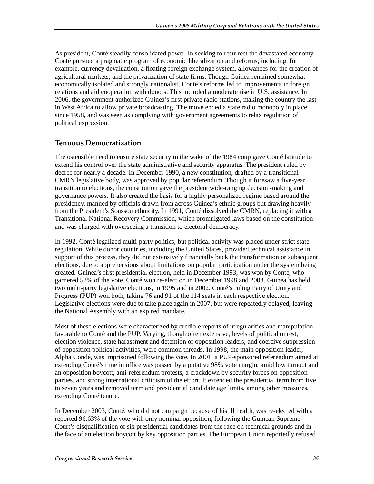As president, Conté steadily consolidated power. In seeking to resurrect the devastated economy, Conté pursued a pragmatic program of economic liberalization and reforms, including, for example, currency devaluation, a floating foreign exchange system, allowances for the creation of agricultural markets, and the privatization of state firms. Though Guinea remained somewhat economically isolated and strongly nationalist, Conté's reforms led to improvements in foreign relations and aid cooperation with donors. This included a moderate rise in U.S. assistance. In 2006, the government authorized Guinea's first private radio stations, making the country the last in West Africa to allow private broadcasting. The move ended a state radio monopoly in place since 1958, and was seen as complying with government agreements to relax regulation of political expression.

### **Tenuous Democratization**

The ostensible need to ensure state security in the wake of the 1984 coup gave Conté latitude to extend his control over the state administrative and security apparatus. The president ruled by decree for nearly a decade. In December 1990, a new constitution, drafted by a transitional CMRN legislative body, was approved by popular referendum. Though it foresaw a five-year transition to elections, the constitution gave the president wide-ranging decision-making and governance powers. It also created the basis for a highly personalized regime based around the presidency, manned by officials drawn from across Guinea's ethnic groups but drawing heavily from the President's Soussou ethnicity. In 1991, Conté dissolved the CMRN, replacing it with a Transitional National Recovery Commission, which promulgated laws based on the constitution and was charged with overseeing a transition to electoral democracy.

In 1992, Conté legalized multi-party politics, but political activity was placed under strict state regulation. While donor countries, including the United States, provided technical assistance in support of this process, they did not extensively financially back the transformation or subsequent elections, due to apprehensions about limitations on popular participation under the system being created. Guinea's first presidential election, held in December 1993, was won by Conté, who garnered 52% of the vote. Conté won re-election in December 1998 and 2003. Guinea has held two multi-party legislative elections, in 1995 and in 2002. Conté's ruling Party of Unity and Progress (PUP) won both, taking 76 and 91 of the 114 seats in each respective election. Legislative elections were due to take place again in 2007, but were repeatedly delayed, leaving the National Assembly with an expired mandate.

Most of these elections were characterized by credible reports of irregularities and manipulation favorable to Conté and the PUP. Varying, though often extensive, levels of political unrest, election violence, state harassment and detention of opposition leaders, and coercive suppression of opposition political activities, were common threads. In 1998, the main opposition leader, Alpha Condé, was imprisoned following the vote. In 2001, a PUP-sponsored referendum aimed at extending Conté's time in office was passed by a putative 98% vote margin, amid low turnout and an opposition boycott, anti-referendum protests, a crackdown by security forces on opposition parties, and strong international criticism of the effort. It extended the presidential term from five to seven years and removed term and presidential candidate age limits, among other measures, extending Conté tenure.

In December 2003, Conté, who did not campaign because of his ill health, was re-elected with a reported 96.63% of the vote with only nominal opposition, following the Guinean Supreme Court's disqualification of six presidential candidates from the race on technical grounds and in the face of an election boycott by key opposition parties. The European Union reportedly refused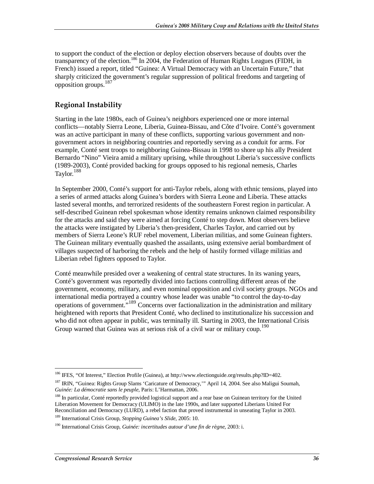to support the conduct of the election or deploy election observers because of doubts over the transparency of the election.<sup>186</sup> In 2004, the Federation of Human Rights Leagues (FIDH, in French) issued a report, titled "Guinea: A Virtual Democracy with an Uncertain Future," that sharply criticized the government's regular suppression of political freedoms and targeting of opposition groups.187

### **Regional Instability**

Starting in the late 1980s, each of Guinea's neighbors experienced one or more internal conflicts—notably Sierra Leone, Liberia, Guinea-Bissau, and Côte d'Ivoire. Conté's government was an active participant in many of these conflicts, supporting various government and nongovernment actors in neighboring countries and reportedly serving as a conduit for arms. For example, Conté sent troops to neighboring Guinea-Bissau in 1998 to shore up his ally President Bernardo "Nino" Vieira amid a military uprising, while throughout Liberia's successive conflicts (1989-2003), Conté provided backing for groups opposed to his regional nemesis, Charles Taylor.<sup>188</sup>

In September 2000, Conté's support for anti-Taylor rebels, along with ethnic tensions, played into a series of armed attacks along Guinea's borders with Sierra Leone and Liberia. These attacks lasted several months, and terrorized residents of the southeastern Forest region in particular. A self-described Guinean rebel spokesman whose identity remains unknown claimed responsibility for the attacks and said they were aimed at forcing Conté to step down. Most observers believe the attacks were instigated by Liberia's then-president, Charles Taylor, and carried out by members of Sierra Leone's RUF rebel movement, Liberian militias, and some Guinean fighters. The Guinean military eventually quashed the assailants, using extensive aerial bombardment of villages suspected of harboring the rebels and the help of hastily formed village militias and Liberian rebel fighters opposed to Taylor.

Conté meanwhile presided over a weakening of central state structures. In its waning years, Conté's government was reportedly divided into factions controlling different areas of the government, economy, military, and even nominal opposition and civil society groups. NGOs and international media portrayed a country whose leader was unable "to control the day-to-day operations of government."<sup>189</sup> Concerns over factionalization in the administration and military heightened with reports that President Conté, who declined to institutionalize his succession and who did not often appear in public, was terminally ill. Starting in 2003, the International Crisis Group warned that Guinea was at serious risk of a civil war or military coup.<sup>190</sup>

<sup>&</sup>lt;u>.</u> 186 IFES, "Of Interest," Election Profile (Guinea), at http://www.electionguide.org/results.php?ID=402*.* 

<sup>&</sup>lt;sup>187</sup> IRIN, "Guinea: Rights Group Slams 'Caricature of Democracy," April 14, 2004. See also Maligui Soumah, *Guinée: La démocratie sans le peuple*, Paris: L'Harmattan, 2006.

<sup>&</sup>lt;sup>188</sup> In particular, Conté reportedly provided logistical support and a rear base on Guinean territory for the United Liberation Movement for Democracy (ULIMO) in the late 1990s, and later supported Liberians United For Reconciliation and Democracy (LURD), a rebel faction that proved instrumental in unseating Taylor in 2003.

<sup>189</sup> International Crisis Group, *Stopping Guinea's Slide*, 2005: 10.

<sup>190</sup> International Crisis Group, *Guinée: incertitudes autour d'une fin de règne*, 2003: i.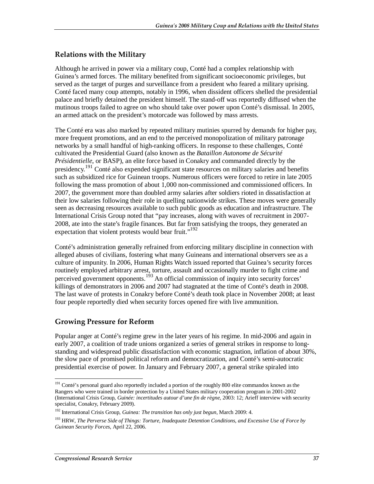### **Relations with the Military**

Although he arrived in power via a military coup, Conté had a complex relationship with Guinea's armed forces. The military benefited from significant socioeconomic privileges, but served as the target of purges and surveillance from a president who feared a military uprising. Conté faced many coup attempts, notably in 1996, when dissident officers shelled the presidential palace and briefly detained the president himself. The stand-off was reportedly diffused when the mutinous troops failed to agree on who should take over power upon Conté's dismissal. In 2005, an armed attack on the president's motorcade was followed by mass arrests.

The Conté era was also marked by repeated military mutinies spurred by demands for higher pay, more frequent promotions, and an end to the perceived monopolization of military patronage networks by a small handful of high-ranking officers. In response to these challenges, Conté cultivated the Presidential Guard (also known as the *Bataillon Autonome de Sécurité Présidentielle*, or BASP), an elite force based in Conakry and commanded directly by the presidency.<sup>191</sup> Conté also expended significant state resources on military salaries and benefits such as subsidized rice for Guinean troops. Numerous officers were forced to retire in late 2005 following the mass promotion of about 1,000 non-commissioned and commissioned officers. In 2007, the government more than doubled army salaries after soldiers rioted in dissatisfaction at their low salaries following their role in quelling nationwide strikes. These moves were generally seen as decreasing resources available to such public goods as education and infrastructure. The International Crisis Group noted that "pay increases, along with waves of recruitment in 2007- 2008, ate into the state's fragile finances. But far from satisfying the troops, they generated an expectation that violent protests would bear fruit."<sup>192</sup>

Conté's administration generally refrained from enforcing military discipline in connection with alleged abuses of civilians, fostering what many Guineans and international observers see as a culture of impunity. In 2006, Human Rights Watch issued reported that Guinea's security forces routinely employed arbitrary arrest, torture, assault and occasionally murder to fight crime and perceived government opponents.<sup>193</sup> An official commission of inquiry into security forces' killings of demonstrators in 2006 and 2007 had stagnated at the time of Conté's death in 2008. The last wave of protests in Conakry before Conté's death took place in November 2008; at least four people reportedly died when security forces opened fire with live ammunition.

### **Growing Pressure for Reform**

Popular anger at Conté's regime grew in the later years of his regime. In mid-2006 and again in early 2007, a coalition of trade unions organized a series of general strikes in response to longstanding and widespread public dissatisfaction with economic stagnation, inflation of about 30%, the slow pace of promised political reform and democratization, and Conté's semi-autocratic presidential exercise of power. In January and February 2007, a general strike spiraled into

<sup>-</sup><sup>191</sup> Conté's personal guard also reportedly included a portion of the roughly 800 elite commandos known as the Rangers who were trained in border protection by a United States military cooperation program in 2001-2002 (International Crisis Group, *Guinée: incertitudes autour d'une fin de règne*, 2003: 12; Arieff interview with security specialist, Conakry, February 2009).

<sup>192</sup> International Crisis Group, *Guinea: The transition has only just begun*, March 2009: 4.

<sup>193</sup> HRW, *The Perverse Side of Things: Torture, Inadequate Detention Conditions, and Excessive Use of Force by Guinean Security Forces*, April 22, 2006.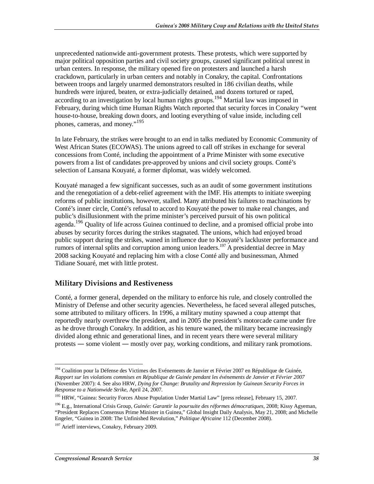unprecedented nationwide anti-government protests. These protests, which were supported by major political opposition parties and civil society groups, caused significant political unrest in urban centers. In response, the military opened fire on protesters and launched a harsh crackdown, particularly in urban centers and notably in Conakry, the capital. Confrontations between troops and largely unarmed demonstrators resulted in 186 civilian deaths, while hundreds were injured, beaten, or extra-judicially detained, and dozens tortured or raped, according to an investigation by local human rights groups.<sup>194</sup> Martial law was imposed in February, during which time Human Rights Watch reported that security forces in Conakry "went house-to-house, breaking down doors, and looting everything of value inside, including cell phones, cameras, and money."<sup>195</sup>

In late February, the strikes were brought to an end in talks mediated by Economic Community of West African States (ECOWAS). The unions agreed to call off strikes in exchange for several concessions from Conté, including the appointment of a Prime Minister with some executive powers from a list of candidates pre-approved by unions and civil society groups. Conté's selection of Lansana Kouyaté, a former diplomat, was widely welcomed.

Kouyaté managed a few significant successes, such as an audit of some government institutions and the renegotiation of a debt-relief agreement with the IMF. His attempts to initiate sweeping reforms of public institutions, however, stalled. Many attributed his failures to machinations by Conté's inner circle, Conté's refusal to accord to Kouyaté the power to make real changes, and public's disillusionment with the prime minister's perceived pursuit of his own political agenda.<sup>196</sup> Quality of life across Guinea continued to decline, and a promised official probe into abuses by security forces during the strikes stagnated. The unions, which had enjoyed broad public support during the strikes, waned in influence due to Kouyaté's lackluster performance and rumors of internal splits and corruption among union leaders.<sup>197</sup> A presidential decree in May 2008 sacking Kouyaté and replacing him with a close Conté ally and businessman, Ahmed Tidiane Souaré, met with little protest.

#### **Military Divisions and Restiveness**

Conté, a former general, depended on the military to enforce his rule, and closely controlled the Ministry of Defense and other security agencies. Nevertheless, he faced several alleged putsches, some attributed to military officers. In 1996, a military mutiny spawned a coup attempt that reportedly nearly overthrew the president, and in 2005 the president's motorcade came under fire as he drove through Conakry. In addition, as his tenure waned, the military became increasingly divided along ethnic and generational lines, and in recent years there were several military protests ― some violent ― mostly over pay, working conditions, and military rank promotions.

<sup>-</sup><sup>194</sup> Coalition pour la Défense des Victimes des Evénements de Janvier et Février 2007 en République de Guinée, *Rapport sur les violations commises en République de Guinée pendant les événements de Janvier et Février 2007* (November 2007): 4. See also HRW, *Dying for Change: Brutality and Repression by Guinean Security Forces in* 

<sup>&</sup>lt;sup>195</sup> HRW, "Guinea: Security Forces Abuse Population Under Martial Law" [press release], February 15, 2007.

<sup>196</sup> E.g., International Crisis Group, *Guinée: Garantir la poursuite des réformes démocratiques*, 2008; Kissy Agyeman, "President Replaces Consensus Prime Minister in Guinea," Global Insight Daily Analysis, May 21, 2008; and Michelle Engeler, "Guinea in 2008: The Unfinished Revolution," *Politique Africaine* 112 (December 2008).

<sup>&</sup>lt;sup>197</sup> Arieff interviews, Conakry, February 2009.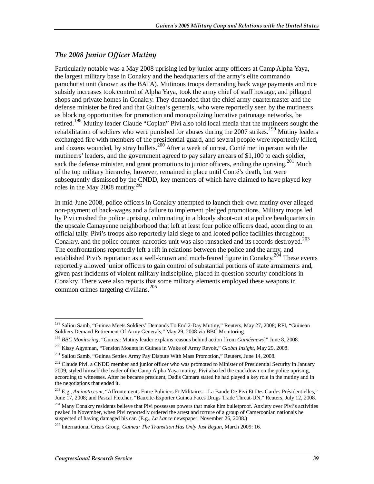### *The 2008 Junior Officer Mutiny*

Particularly notable was a May 2008 uprising led by junior army officers at Camp Alpha Yaya, the largest military base in Conakry and the headquarters of the army's elite commando parachutist unit (known as the BATA). Mutinous troops demanding back wage payments and rice subsidy increases took control of Alpha Yaya, took the army chief of staff hostage, and pillaged shops and private homes in Conakry. They demanded that the chief army quartermaster and the defense minister be fired and that Guinea's generals, who were reportedly seen by the mutineers as blocking opportunities for promotion and monopolizing lucrative patronage networks, be retired.<sup>198</sup> Mutiny leader Claude "Coplan" Pivi also told local media that the mutineers sought the rehabilitation of soldiers who were punished for abuses during the 2007 strikes.<sup>199</sup> Mutiny leaders exchanged fire with members of the presidential guard, and several people were reportedly killed, and dozens wounded, by stray bullets.<sup>200</sup> After a week of unrest, Conté met in person with the mutineers' leaders, and the government agreed to pay salary arrears of \$1,100 to each soldier, sack the defense minister, and grant promotions to junior officers, ending the uprising.<sup>201</sup> Much of the top military hierarchy, however, remained in place until Conté's death, but were subsequently dismissed by the CNDD, key members of which have claimed to have played key roles in the May 2008 mutiny.<sup>202</sup>

In mid-June 2008, police officers in Conakry attempted to launch their own mutiny over alleged non-payment of back-wages and a failure to implement pledged promotions. Military troops led by Pivi crushed the police uprising, culminating in a bloody shoot-out at a police headquarters in the upscale Camayenne neighborhood that left at least four police officers dead, according to an official tally. Pivi's troops also reportedly laid siege to and looted police facilities throughout Conakry, and the police counter-narcotics unit was also ransacked and its records destroyed.<sup>203</sup> The confrontations reportedly left a rift in relations between the police and the army, and established Pivi's reputation as a well-known and much-feared figure in Conakry.<sup>204</sup> These events reportedly allowed junior officers to gain control of substantial portions of state armaments and, given past incidents of violent military indiscipline, placed in question security conditions in Conakry. There were also reports that some military elements employed these weapons in common crimes targeting civilians.<sup>205</sup>

<sup>&</sup>lt;u>.</u> <sup>198</sup> Saliou Samb, "Guinea Meets Soldiers' Demands To End 2-Day Mutiny," Reuters, May 27, 2008; RFI, "Guinean Soldiers Demand Retirement Of Army Generals," May 29, 2008 via BBC Monitoring.

<sup>199</sup> *BBC Monitoring*, "Guinea: Mutiny leader explains reasons behind action [from *Guinéenews*]" June 8, 2008.

<sup>200</sup> Kissy Agyeman, "Tension Mounts in Guinea in Wake of Army Revolt," *Global Insight*, May 29, 2008.

<sup>&</sup>lt;sup>201</sup> Saliou Samb, "Guinea Settles Army Pay Dispute With Mass Promotion," Reuters, June 14, 2008.

<sup>&</sup>lt;sup>202</sup> Claude Pivi, a CNDD member and junior officer who was promoted to Minister of Presidential Security in January 2009, styled himself the leader of the Camp Alpha Yaya mutiny. Pivi also led the crackdown on the police uprising, according to witnesses. After he became president, Dadis Camara stated he had played a key role in the mutiny and in the negotiations that ended it.

<sup>203</sup> E.g., *Aminata.com*, "Affrontements Entre Policiers Et Militaires—La Bande De Pivi Et Des Gardes Présidentielles," June 17, 2008; and Pascal Fletcher, "Bauxite-Exporter Guinea Faces Drugs Trade Threat-UN," Reuters, July 12, 2008.

<sup>&</sup>lt;sup>204</sup> Many Conakry residents believe that Pivi possesses powers that make him bulletproof. Anxiety over Pivi's activities peaked in November, when Pivi reportedly ordered the arrest and torture of a group of Cameroonian nationals he suspected of having damaged his car. (E.g., *La Lance* newspaper, November 26, 2008.)

<sup>205</sup> International Crisis Group, *Guinea: The Transition Has Only Just Begun*, March 2009: 16.